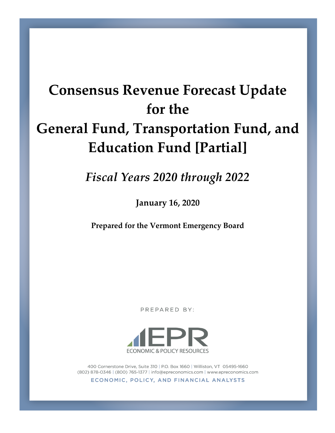# **Consensus Revenue Forecast Update for the General Fund, Transportation Fund, and Education Fund [Partial]**

*Fiscal Years 2020 through 2022*

**January 16, 2020**

**Prepared for the Vermont Emergency Board**

PREPARED BY:



400 Cornerstone Drive, Suite 310 | P.O. Box 1660 | Williston, VT 05495-1660 (802) 878-0346 | (800) 765-1377 | info@epreconomics.com | www.epreconomics.com

ECONOMIC, POLICY, AND FINANCIAL ANALYSTS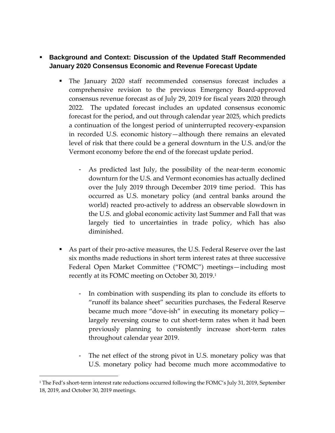- **Background and Context: Discussion of the Updated Staff Recommended January 2020 Consensus Economic and Revenue Forecast Update**
	- The January 2020 staff recommended consensus forecast includes a comprehensive revision to the previous Emergency Board-approved consensus revenue forecast as of July 29, 2019 for fiscal years 2020 through 2022. The updated forecast includes an updated consensus economic forecast for the period, and out through calendar year 2025, which predicts a continuation of the longest period of uninterrupted recovery-expansion in recorded U.S. economic history—although there remains an elevated level of risk that there could be a general downturn in the U.S. and/or the Vermont economy before the end of the forecast update period.
		- As predicted last July, the possibility of the near-term economic downturn for the U.S. and Vermont economies has actually declined over the July 2019 through December 2019 time period. This has occurred as U.S. monetary policy (and central banks around the world) reacted pro-actively to address an observable slowdown in the U.S. and global economic activity last Summer and Fall that was largely tied to uncertainties in trade policy, which has also diminished.
	- As part of their pro-active measures, the U.S. Federal Reserve over the last six months made reductions in short term interest rates at three successive Federal Open Market Committee ("FOMC") meetings—including most recently at its FOMC meeting on October 30, 2019. 1
		- In combination with suspending its plan to conclude its efforts to "runoff its balance sheet" securities purchases, the Federal Reserve became much more "dove-ish" in executing its monetary policy largely reversing course to cut short-term rates when it had been previously planning to consistently increase short-term rates throughout calendar year 2019.
		- The net effect of the strong pivot in U.S. monetary policy was that U.S. monetary policy had become much more accommodative to

 $\overline{a}$ 

<sup>&</sup>lt;sup>1</sup> The Fed's short-term interest rate reductions occurred following the FOMC's July 31, 2019, September 18, 2019, and October 30, 2019 meetings.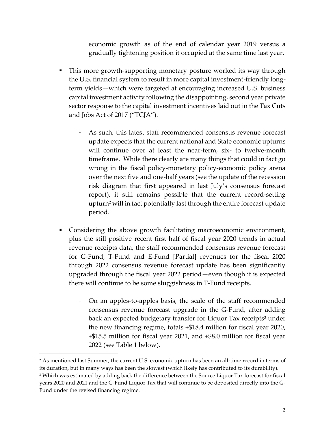economic growth as of the end of calendar year 2019 versus a gradually tightening position it occupied at the same time last year.

- This more growth-supporting monetary posture worked its way through the U.S. financial system to result in more capital investment-friendly longterm yields—which were targeted at encouraging increased U.S. business capital investment activity following the disappointing, second year private sector response to the capital investment incentives laid out in the Tax Cuts and Jobs Act of 2017 ("TCJA").
	- As such, this latest staff recommended consensus revenue forecast update expects that the current national and State economic upturns will continue over at least the near-term, six- to twelve-month timeframe. While there clearly are many things that could in fact go wrong in the fiscal policy-monetary policy-economic policy arena over the next five and one-half years (see the update of the recession risk diagram that first appeared in last July's consensus forecast report), it still remains possible that the current record-setting upturn<sup>2</sup> will in fact potentially last through the entire forecast update period.
- Considering the above growth facilitating macroeconomic environment, plus the still positive recent first half of fiscal year 2020 trends in actual revenue receipts data, the staff recommended consensus revenue forecast for G-Fund, T-Fund and E-Fund [Partial] revenues for the fiscal 2020 through 2022 consensus revenue forecast update has been significantly upgraded through the fiscal year 2022 period—even though it is expected there will continue to be some sluggishness in T-Fund receipts.
	- On an apples-to-apples basis, the scale of the staff recommended consensus revenue forecast upgrade in the G-Fund, after adding back an expected budgetary transfer for Liquor Tax receipts<sup>3</sup> under the new financing regime, totals +\$18.4 million for fiscal year 2020, +\$15.5 million for fiscal year 2021, and +\$8.0 million for fiscal year 2022 (see Table 1 below).

 $\overline{a}$ 

<sup>2</sup> As mentioned last Summer, the current U.S. economic upturn has been an all-time record in terms of its duration, but in many ways has been the slowest (which likely has contributed to its durability).

<sup>&</sup>lt;sup>3</sup> Which was estimated by adding back the difference between the Source Liquor Tax forecast for fiscal years 2020 and 2021 and the G-Fund Liquor Tax that will continue to be deposited directly into the G-Fund under the revised financing regime.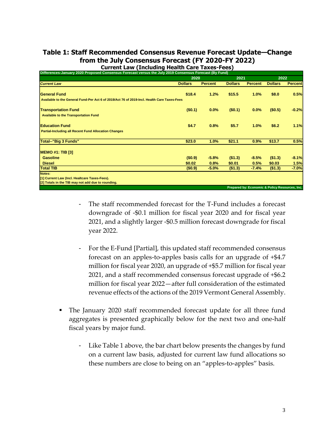# **Table 1: Staff Recommended Consensus Revenue Forecast Update—Change from the July Consensus Forecast (FY 2020-FY 2022) Current Law (Including Health Care Taxes-Fees)**

| Differences-January 2020 Proposed Consensus Forecast versus the July 2019 Consensus Forecast (By Fund)                                    |                |                |                |                                                |                |                |
|-------------------------------------------------------------------------------------------------------------------------------------------|----------------|----------------|----------------|------------------------------------------------|----------------|----------------|
|                                                                                                                                           | 2020           |                | 2021           |                                                | 2022           |                |
| <b>Current Law</b>                                                                                                                        | <b>Dollars</b> | <b>Percent</b> | <b>Dollars</b> | <b>Percent</b>                                 | <b>Dollars</b> | <b>Percent</b> |
| <b>General Fund</b>                                                                                                                       | \$18.4         | 1.2%           | \$15.5         | 1.0%                                           | \$8.0          | 0.5%           |
| Available to the General Fund-Per Act 6 of 2019/Act 76 of 2019-Incl. Health Care Taxes-Fees                                               |                |                |                |                                                |                |                |
| <b>Transportation Fund</b>                                                                                                                | (50.1)         | $0.0\%$        | (\$0.1)        | 0.0%                                           | (\$0.5)        | $-0.2%$        |
| <b>Available to the Transportation Fund</b>                                                                                               |                |                |                |                                                |                |                |
| <b>Education Fund</b>                                                                                                                     | \$4.7          | 0.8%           | \$5.7          | 1.0%                                           | \$6.2          | 1.1%           |
| <b>Partial-Including all Recent Fund Allocation Changes</b>                                                                               |                |                |                |                                                |                |                |
| Total--"Big 3 Funds"                                                                                                                      | \$23.0         | 1.0%           | \$21.1         | 0.9%                                           | \$13.7         | 0.5%           |
|                                                                                                                                           |                |                |                |                                                |                |                |
| <b>Gasoline</b>                                                                                                                           | (50.9)         | $-5.8%$        | (\$1.3)        | $-8.5%$                                        | ( \$1.3)       | $-8.1%$        |
| <b>Diesel</b>                                                                                                                             | \$0.02\$       | 0.8%           | \$0.01         | 0.5%                                           | \$0.03         | 1.5%           |
| <b>Total TIB</b>                                                                                                                          | (\$0.9)        | $-5.0%$        | (\$1.3)        | $-7.4%$                                        | (\$1.3)        | $-7.0%$        |
|                                                                                                                                           |                |                |                |                                                |                |                |
|                                                                                                                                           |                |                |                |                                                |                |                |
|                                                                                                                                           |                |                |                |                                                |                |                |
| <b>MEMO #1: TIB [3]</b><br>Notes:<br>[11] Current Law (Incl. Healtcare Taxes-Fees).<br>[2] Totals in the TIB may not add due to rounding. |                |                |                | Prepared by: Economic & Policy Resources, Inc. |                |                |

- The staff recommended forecast for the T-Fund includes a forecast downgrade of -\$0.1 million for fiscal year 2020 and for fiscal year 2021, and a slightly larger -\$0.5 million forecast downgrade for fiscal year 2022.
- For the E-Fund [Partial], this updated staff recommended consensus forecast on an apples-to-apples basis calls for an upgrade of +\$4.7 million for fiscal year 2020, an upgrade of +\$5.7 million for fiscal year 2021, and a staff recommended consensus forecast upgrade of +\$6.2 million for fiscal year 2022—after full consideration of the estimated revenue effects of the actions of the 2019 Vermont General Assembly.
- The January 2020 staff recommended forecast update for all three fund aggregates is presented graphically below for the next two and one-half fiscal years by major fund.
	- Like Table 1 above, the bar chart below presents the changes by fund on a current law basis, adjusted for current law fund allocations so these numbers are close to being on an "apples-to-apples" basis.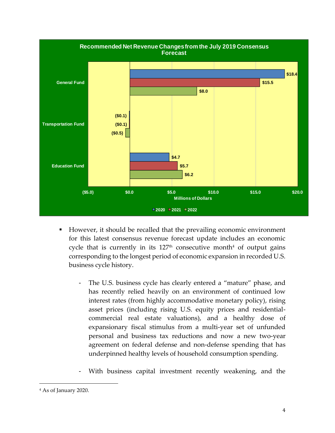

- However, it should be recalled that the prevailing economic environment for this latest consensus revenue forecast update includes an economic cycle that is currently in its  $127<sup>th</sup>$  consecutive month<sup>4</sup> of output gains corresponding to the longest period of economic expansion in recorded U.S. business cycle history.
	- The U.S. business cycle has clearly entered a "mature" phase, and has recently relied heavily on an environment of continued low interest rates (from highly accommodative monetary policy), rising asset prices (including rising U.S. equity prices and residentialcommercial real estate valuations), and a healthy dose of expansionary fiscal stimulus from a multi-year set of unfunded personal and business tax reductions and now a new two-year agreement on federal defense and non-defense spending that has underpinned healthy levels of household consumption spending.
	- With business capital investment recently weakening, and the

 $\overline{a}$ 

<sup>4</sup> As of January 2020.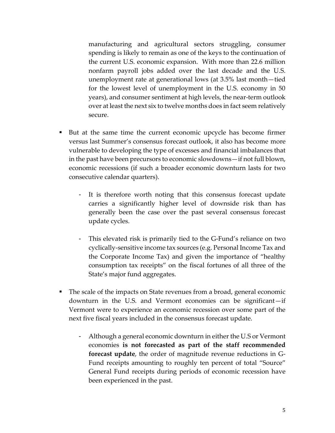manufacturing and agricultural sectors struggling, consumer spending is likely to remain as one of the keys to the continuation of the current U.S. economic expansion. With more than 22.6 million nonfarm payroll jobs added over the last decade and the U.S. unemployment rate at generational lows (at 3.5% last month—tied for the lowest level of unemployment in the U.S. economy in 50 years), and consumer sentiment at high levels, the near-term outlook over at least the next six to twelve months does in fact seem relatively secure.

- But at the same time the current economic upcycle has become firmer versus last Summer's consensus forecast outlook, it also has become more vulnerable to developing the type of excesses and financial imbalances that in the past have been precursors to economic slowdowns—if not full blown, economic recessions (if such a broader economic downturn lasts for two consecutive calendar quarters).
	- It is therefore worth noting that this consensus forecast update carries a significantly higher level of downside risk than has generally been the case over the past several consensus forecast update cycles.
	- This elevated risk is primarily tied to the G-Fund's reliance on two cyclically-sensitive income tax sources (e.g. Personal Income Tax and the Corporate Income Tax) and given the importance of "healthy consumption tax receipts" on the fiscal fortunes of all three of the State's major fund aggregates.
- The scale of the impacts on State revenues from a broad, general economic downturn in the U.S. and Vermont economies can be significant—if Vermont were to experience an economic recession over some part of the next five fiscal years included in the consensus forecast update.
	- Although a general economic downturn in either the U.S or Vermont economies **is not forecasted as part of the staff recommended forecast update**, the order of magnitude revenue reductions in G-Fund receipts amounting to roughly ten percent of total "Source" General Fund receipts during periods of economic recession have been experienced in the past.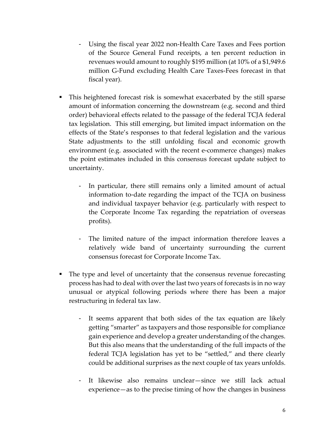- Using the fiscal year 2022 non-Health Care Taxes and Fees portion of the Source General Fund receipts, a ten percent reduction in revenues would amount to roughly \$195 million (at 10% of a \$1,949.6 million G-Fund excluding Health Care Taxes-Fees forecast in that fiscal year).
- This heightened forecast risk is somewhat exacerbated by the still sparse amount of information concerning the downstream (e.g. second and third order) behavioral effects related to the passage of the federal TCJA federal tax legislation. This still emerging, but limited impact information on the effects of the State's responses to that federal legislation and the various State adjustments to the still unfolding fiscal and economic growth environment (e.g. associated with the recent e-commerce changes) makes the point estimates included in this consensus forecast update subject to uncertainty.
	- In particular, there still remains only a limited amount of actual information to-date regarding the impact of the TCJA on business and individual taxpayer behavior (e.g. particularly with respect to the Corporate Income Tax regarding the repatriation of overseas profits).
	- The limited nature of the impact information therefore leaves a relatively wide band of uncertainty surrounding the current consensus forecast for Corporate Income Tax.
- The type and level of uncertainty that the consensus revenue forecasting process has had to deal with over the last two years of forecasts is in no way unusual or atypical following periods where there has been a major restructuring in federal tax law.
	- It seems apparent that both sides of the tax equation are likely getting "smarter" as taxpayers and those responsible for compliance gain experience and develop a greater understanding of the changes. But this also means that the understanding of the full impacts of the federal TCJA legislation has yet to be "settled," and there clearly could be additional surprises as the next couple of tax years unfolds.
	- It likewise also remains unclear—since we still lack actual experience—as to the precise timing of how the changes in business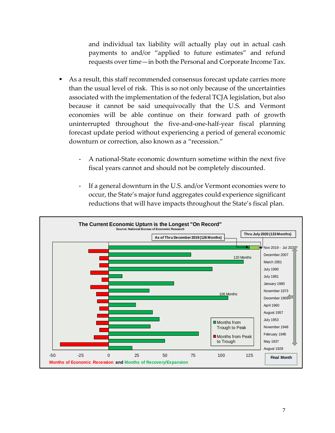and individual tax liability will actually play out in actual cash payments to and/or "applied to future estimates" and refund requests over time—in both the Personal and Corporate Income Tax.

- As a result, this staff recommended consensus forecast update carries more than the usual level of risk. This is so not only because of the uncertainties associated with the implementation of the federal TCJA legislation, but also because it cannot be said unequivocally that the U.S. and Vermont economies will be able continue on their forward path of growth uninterrupted throughout the five-and-one-half-year fiscal planning forecast update period without experiencing a period of general economic downturn or correction, also known as a "recession."
	- A national-State economic downturn sometime within the next five fiscal years cannot and should not be completely discounted.
	- If a general downturn in the U.S. and/or Vermont economies were to occur, the State's major fund aggregates could experience significant reductions that will have impacts throughout the State's fiscal plan.

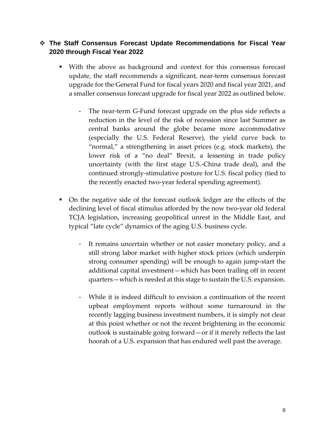# ❖ **The Staff Consensus Forecast Update Recommendations for Fiscal Year 2020 through Fiscal Year 2022**

- With the above as background and context for this consensus forecast update, the staff recommends a significant, near-term consensus forecast upgrade for the General Fund for fiscal years 2020 and fiscal year 2021, and a smaller consensus forecast upgrade for fiscal year 2022 as outlined below.
	- The near-term G-Fund forecast upgrade on the plus side reflects a reduction in the level of the risk of recession since last Summer as central banks around the globe became more accommodative (especially the U.S. Federal Reserve), the yield curve back to "normal," a strengthening in asset prices (e.g. stock markets), the lower risk of a "no deal" Brexit, a lessening in trade policy uncertainty (with the first stage U.S.-China trade deal), and the continued strongly-stimulative posture for U.S. fiscal policy (tied to the recently enacted two-year federal spending agreement).
- On the negative side of the forecast outlook ledger are the effects of the declining level of fiscal stimulus afforded by the now two-year old federal TCJA legislation, increasing geopolitical unrest in the Middle East, and typical "late cycle" dynamics of the aging U.S. business cycle.
	- It remains uncertain whether or not easier monetary policy, and a still strong labor market with higher stock prices (which underpin strong consumer spending) will be enough to again jump-start the additional capital investment—which has been trailing off in recent quarters—which is needed at this stage to sustain the U.S. expansion.
	- While it is indeed difficult to envision a continuation of the recent upbeat employment reports without some turnaround in the recently lagging business investment numbers, it is simply not clear at this point whether or not the recent brightening in the economic outlook is sustainable going forward—or if it merely reflects the last hoorah of a U.S. expansion that has endured well past the average.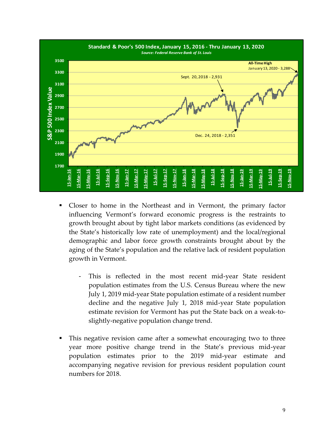

- Closer to home in the Northeast and in Vermont, the primary factor influencing Vermont's forward economic progress is the restraints to growth brought about by tight labor markets conditions (as evidenced by the State's historically low rate of unemployment) and the local/regional demographic and labor force growth constraints brought about by the aging of the State's population and the relative lack of resident population growth in Vermont.
	- This is reflected in the most recent mid-year State resident population estimates from the U.S. Census Bureau where the new July 1, 2019 mid-year State population estimate of a resident number decline and the negative July 1, 2018 mid-year State population estimate revision for Vermont has put the State back on a weak-toslightly-negative population change trend.
- This negative revision came after a somewhat encouraging two to three year more positive change trend in the State's previous mid-year population estimates prior to the 2019 mid-year estimate and accompanying negative revision for previous resident population count numbers for 2018.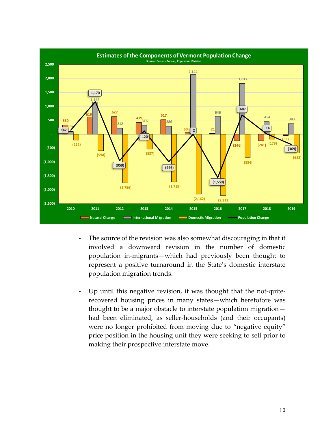

- The source of the revision was also somewhat discouraging in that it involved a downward revision in the number of domestic population in-migrants—which had previously been thought to represent a positive turnaround in the State's domestic interstate population migration trends.
- Up until this negative revision, it was thought that the not-quiterecovered housing prices in many states—which heretofore was thought to be a major obstacle to interstate population migration had been eliminated, as seller-households (and their occupants) were no longer prohibited from moving due to "negative equity" price position in the housing unit they were seeking to sell prior to making their prospective interstate move.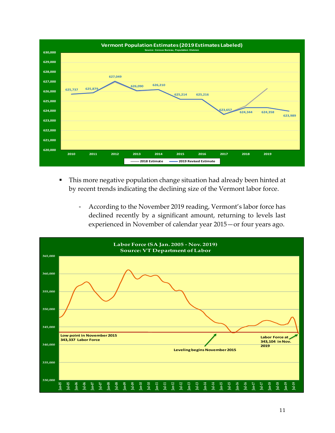

- This more negative population change situation had already been hinted at by recent trends indicating the declining size of the Vermont labor force.
	- According to the November 2019 reading, Vermont's labor force has declined recently by a significant amount, returning to levels last experienced in November of calendar year 2015—or four years ago.

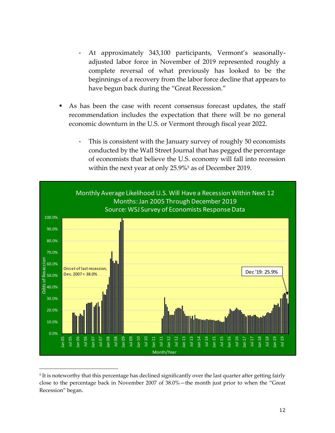- At approximately 343,100 participants, Vermont's seasonallyadjusted labor force in November of 2019 represented roughly a complete reversal of what previously has looked to be the beginnings of a recovery from the labor force decline that appears to have begun back during the "Great Recession."
- As has been the case with recent consensus forecast updates, the staff recommendation includes the expectation that there will be no general economic downturn in the U.S. or Vermont through fiscal year 2022.
	- This is consistent with the January survey of roughly 50 economists conducted by the Wall Street Journal that has pegged the percentage of economists that believe the U.S. economy will fall into recession within the next year at only 25.9%<sup>5</sup> as of December 2019.



<sup>5</sup> It is noteworthy that this percentage has declined significantly over the last quarter after getting fairly close to the percentage back in November 2007 of 38.0%—the month just prior to when the "Great Recession" began.

 $\overline{a}$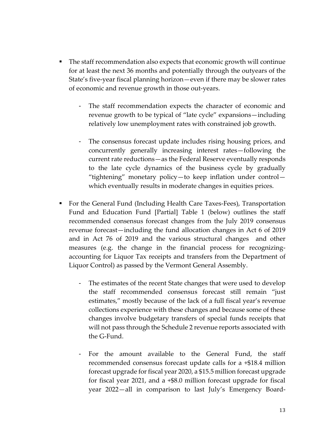- The staff recommendation also expects that economic growth will continue for at least the next 36 months and potentially through the outyears of the State's five-year fiscal planning horizon—even if there may be slower rates of economic and revenue growth in those out-years.
	- The staff recommendation expects the character of economic and revenue growth to be typical of "late cycle" expansions—including relatively low unemployment rates with constrained job growth.
	- The consensus forecast update includes rising housing prices, and concurrently generally increasing interest rates—following the current rate reductions—as the Federal Reserve eventually responds to the late cycle dynamics of the business cycle by gradually "tightening" monetary policy—to keep inflation under control which eventually results in moderate changes in equities prices.
- For the General Fund (Including Health Care Taxes-Fees), Transportation Fund and Education Fund [Partial] Table 1 (below) outlines the staff recommended consensus forecast changes from the July 2019 consensus revenue forecast—including the fund allocation changes in Act 6 of 2019 and in Act 76 of 2019 and the various structural changes and other measures (e.g. the change in the financial process for recognizingaccounting for Liquor Tax receipts and transfers from the Department of Liquor Control) as passed by the Vermont General Assembly.
	- The estimates of the recent State changes that were used to develop the staff recommended consensus forecast still remain "just estimates," mostly because of the lack of a full fiscal year's revenue collections experience with these changes and because some of these changes involve budgetary transfers of special funds receipts that will not pass through the Schedule 2 revenue reports associated with the G-Fund.
	- For the amount available to the General Fund, the staff recommended consensus forecast update calls for a +\$18.4 million forecast upgrade for fiscal year 2020, a \$15.5 million forecast upgrade for fiscal year 2021, and a +\$8.0 million forecast upgrade for fiscal year 2022—all in comparison to last July's Emergency Board-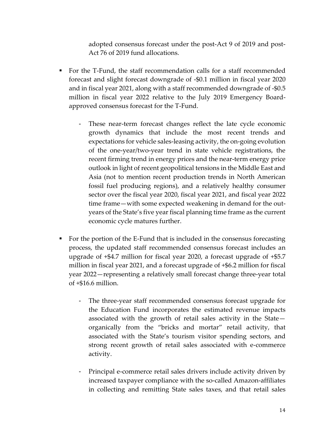adopted consensus forecast under the post-Act 9 of 2019 and post-Act 76 of 2019 fund allocations.

- For the T-Fund, the staff recommendation calls for a staff recommended forecast and slight forecast downgrade of -\$0.1 million in fiscal year 2020 and in fiscal year 2021, along with a staff recommended downgrade of -\$0.5 million in fiscal year 2022 relative to the July 2019 Emergency Boardapproved consensus forecast for the T-Fund.
	- These near-term forecast changes reflect the late cycle economic growth dynamics that include the most recent trends and expectations for vehicle sales-leasing activity, the on-going evolution of the one-year/two-year trend in state vehicle registrations, the recent firming trend in energy prices and the near-term energy price outlook in light of recent geopolitical tensions in the Middle East and Asia (not to mention recent production trends in North American fossil fuel producing regions), and a relatively healthy consumer sector over the fiscal year 2020, fiscal year 2021, and fiscal year 2022 time frame—with some expected weakening in demand for the outyears of the State's five year fiscal planning time frame as the current economic cycle matures further.
- For the portion of the E-Fund that is included in the consensus forecasting process, the updated staff recommended consensus forecast includes an upgrade of +\$4.7 million for fiscal year 2020, a forecast upgrade of +\$5.7 million in fiscal year 2021, and a forecast upgrade of +\$6.2 million for fiscal year 2022—representing a relatively small forecast change three-year total of +\$16.6 million.
	- The three-year staff recommended consensus forecast upgrade for the Education Fund incorporates the estimated revenue impacts associated with the growth of retail sales activity in the State organically from the "bricks and mortar" retail activity, that associated with the State's tourism visitor spending sectors, and strong recent growth of retail sales associated with e-commerce activity.
	- Principal e-commerce retail sales drivers include activity driven by increased taxpayer compliance with the so-called Amazon-affiliates in collecting and remitting State sales taxes, and that retail sales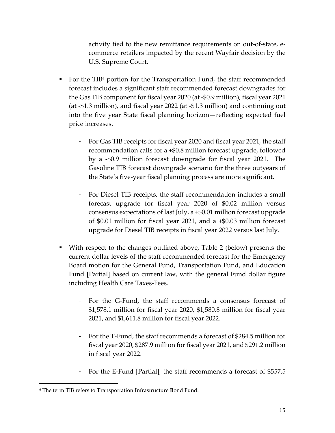activity tied to the new remittance requirements on out-of-state, ecommerce retailers impacted by the recent Wayfair decision by the U.S. Supreme Court.

- $\blacksquare$  For the TIB<sup>6</sup> portion for the Transportation Fund, the staff recommended forecast includes a significant staff recommended forecast downgrades for the Gas TIB component for fiscal year 2020 (at -\$0.9 million), fiscal year 2021 (at -\$1.3 million), and fiscal year 2022 (at -\$1.3 million) and continuing out into the five year State fiscal planning horizon—reflecting expected fuel price increases.
	- For Gas TIB receipts for fiscal year 2020 and fiscal year 2021, the staff recommendation calls for a +\$0.8 million forecast upgrade, followed by a -\$0.9 million forecast downgrade for fiscal year 2021. The Gasoline TIB forecast downgrade scenario for the three outyears of the State's five-year fiscal planning process are more significant.
	- For Diesel TIB receipts, the staff recommendation includes a small forecast upgrade for fiscal year 2020 of \$0.02 million versus consensus expectations of last July, a +\$0.01 million forecast upgrade of \$0.01 million for fiscal year 2021, and a +\$0.03 million forecast upgrade for Diesel TIB receipts in fiscal year 2022 versus last July.
- With respect to the changes outlined above, Table 2 (below) presents the current dollar levels of the staff recommended forecast for the Emergency Board motion for the General Fund, Transportation Fund, and Education Fund [Partial] based on current law, with the general Fund dollar figure including Health Care Taxes-Fees.
	- For the G-Fund, the staff recommends a consensus forecast of \$1,578.1 million for fiscal year 2020, \$1,580.8 million for fiscal year 2021, and \$1,611.8 million for fiscal year 2022.
	- For the T-Fund, the staff recommends a forecast of \$284.5 million for fiscal year 2020, \$287.9 million for fiscal year 2021, and \$291.2 million in fiscal year 2022.
	- For the E-Fund [Partial], the staff recommends a forecast of \$557.5

 $\overline{a}$ 

<sup>6</sup> The term TIB refers to **T**ransportation **I**nfrastructure **B**ond Fund.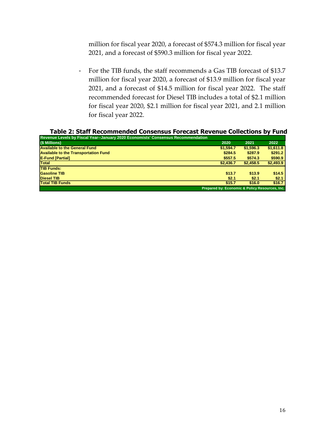million for fiscal year 2020, a forecast of \$574.3 million for fiscal year 2021, and a forecast of \$590.3 million for fiscal year 2022.

- For the TIB funds, the staff recommends a Gas TIB forecast of \$13.7 million for fiscal year 2020, a forecast of \$13.9 million for fiscal year 2021, and a forecast of \$14.5 million for fiscal year 2022. The staff recommended forecast for Diesel TIB includes a total of \$2.1 million for fiscal year 2020, \$2.1 million for fiscal year 2021, and 2.1 million for fiscal year 2022.

**Table 2: Staff Recommended Consensus Forecast Revenue Collections by Fund**

| Revenue Levels by Fiscal Year--January 2020 Economists' Consensus Recommendation |                                                |           |           |
|----------------------------------------------------------------------------------|------------------------------------------------|-----------|-----------|
| (\$ Millions)                                                                    | 2020                                           | 2021      | 2022      |
| <b>Available to the General Fund</b>                                             | \$1,594.7                                      | \$1,596.3 | \$1.611.8 |
| <b>Available to the Transportation Fund</b>                                      | \$284.5                                        | \$287.9   | \$291.2   |
| <b>E-Fund [Partial]</b>                                                          | \$557.5                                        | \$574.3   | \$590.9   |
| <b>Total</b>                                                                     | \$2,436.7                                      | \$2,458.5 | \$2,493.9 |
| <b>TIB Funds:</b>                                                                |                                                |           |           |
| <b>Gasoline TIB</b>                                                              | \$13.7                                         | \$13.9    | \$14.5    |
| <b>Diesel TIB</b>                                                                | \$2.1                                          | \$2.1     | \$2.1     |
| <b>Total TIB Funds</b>                                                           | \$15.7                                         | \$16.0    | \$16.7    |
|                                                                                  | Prepared by: Economic & Policy Resources, Inc. |           |           |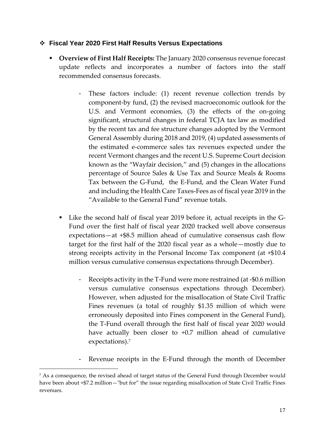# ❖ **Fiscal Year 2020 First Half Results Versus Expectations**

- **Overview of First Half Receipts:** The January 2020 consensus revenue forecast update reflects and incorporates a number of factors into the staff recommended consensus forecasts.
	- These factors include: (1) recent revenue collection trends by component-by fund, (2) the revised macroeconomic outlook for the U.S. and Vermont economies, (3) the effects of the on-going significant, structural changes in federal TCJA tax law as modified by the recent tax and fee structure changes adopted by the Vermont General Assembly during 2018 and 2019, (4) updated assessments of the estimated e-commerce sales tax revenues expected under the recent Vermont changes and the recent U.S. Supreme Court decision known as the "Wayfair decision," and (5) changes in the allocations percentage of Source Sales & Use Tax and Source Meals & Rooms Tax between the G-Fund, the E-Fund, and the Clean Water Fund and including the Health Care Taxes-Fees as of fiscal year 2019 in the "Available to the General Fund" revenue totals.
	- Like the second half of fiscal year 2019 before it, actual receipts in the G-Fund over the first half of fiscal year 2020 tracked well above consensus expectations—at +\$8.5 million ahead of cumulative consensus cash flow target for the first half of the 2020 fiscal year as a whole—mostly due to strong receipts activity in the Personal Income Tax component (at +\$10.4 million versus cumulative consensus expectations through December).
		- Receipts activity in the T-Fund were more restrained (at -\$0.6 million versus cumulative consensus expectations through December). However, when adjusted for the misallocation of State Civil Traffic Fines revenues (a total of roughly \$1.35 million of which were erroneously deposited into Fines component in the General Fund), the T-Fund overall through the first half of fiscal year 2020 would have actually been closer to +0.7 million ahead of cumulative expectations).<sup>7</sup>
		- Revenue receipts in the E-Fund through the month of December

 $\overline{a}$ 

<sup>7</sup> As a consequence, the revised ahead of target status of the General Fund through December would have been about +\$7.2 million—"but for" the issue regarding misallocation of State Civil Traffic Fines revenues.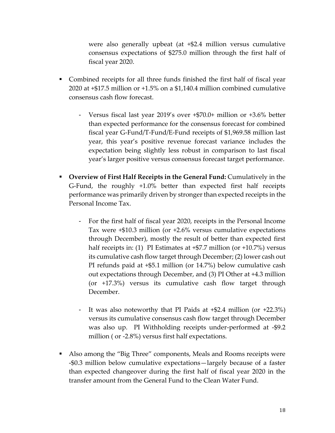were also generally upbeat (at +\$2.4 million versus cumulative consensus expectations of \$275.0 million through the first half of fiscal year 2020.

- Combined receipts for all three funds finished the first half of fiscal year 2020 at +\$17.5 million or +1.5% on a \$1,140.4 million combined cumulative consensus cash flow forecast.
	- Versus fiscal last year 2019's over +\$70.0+ million or +3.6% better than expected performance for the consensus forecast for combined fiscal year G-Fund/T-Fund/E-Fund receipts of \$1,969.58 million last year, this year's positive revenue forecast variance includes the expectation being slightly less robust in comparison to last fiscal year's larger positive versus consensus forecast target performance.
- **Overview of First Half Receipts in the General Fund:** Cumulatively in the G-Fund, the roughly +1.0% better than expected first half receipts performance was primarily driven by stronger than expected receipts in the Personal Income Tax.
	- For the first half of fiscal year 2020, receipts in the Personal Income Tax were +\$10.3 million (or +2.6% versus cumulative expectations through December), mostly the result of better than expected first half receipts in: (1) PI Estimates at  $+$ \$7.7 million (or  $+$ 10.7%) versus its cumulative cash flow target through December; (2) lower cash out PI refunds paid at +\$5.1 million (or 14.7%) below cumulative cash out expectations through December, and (3) PI Other at +4.3 million (or +17.3%) versus its cumulative cash flow target through December.
	- It was also noteworthy that PI Paids at +\$2.4 million (or +22.3%) versus its cumulative consensus cash flow target through December was also up. PI Withholding receipts under-performed at -\$9.2 million ( or -2.8%) versus first half expectations.
- Also among the "Big Three" components, Meals and Rooms receipts were -\$0.3 million below cumulative expectations—largely because of a faster than expected changeover during the first half of fiscal year 2020 in the transfer amount from the General Fund to the Clean Water Fund.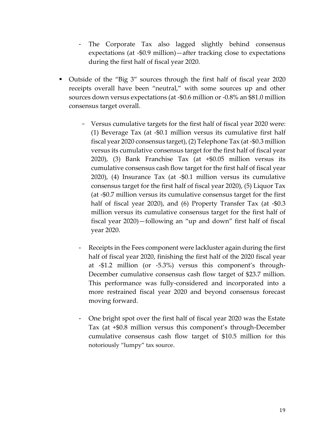- The Corporate Tax also lagged slightly behind consensus expectations (at -\$0.9 million)—after tracking close to expectations during the first half of fiscal year 2020.
- Outside of the "Big 3" sources through the first half of fiscal year 2020 receipts overall have been "neutral," with some sources up and other sources down versus expectations (at -\$0.6 million or -0.8% an \$81.0 million consensus target overall.
	- Versus cumulative targets for the first half of fiscal year 2020 were: (1) Beverage Tax (at -\$0.1 million versus its cumulative first half fiscal year 2020 consensus target), (2) Telephone Tax (at -\$0.3 million versus its cumulative consensus target for the first half of fiscal year 2020), (3) Bank Franchise Tax (at +\$0.05 million versus its cumulative consensus cash flow target for the first half of fiscal year 2020), (4) Insurance Tax (at -\$0.1 million versus its cumulative consensus target for the first half of fiscal year 2020), (5) Liquor Tax (at -\$0.7 million versus its cumulative consensus target for the first half of fiscal year 2020), and (6) Property Transfer Tax (at -\$0.3 million versus its cumulative consensus target for the first half of fiscal year 2020)—following an "up and down" first half of fiscal year 2020.
	- Receipts in the Fees component were lackluster again during the first half of fiscal year 2020, finishing the first half of the 2020 fiscal year at -\$1.2 million (or -5.3%) versus this component's through-December cumulative consensus cash flow target of \$23.7 million. This performance was fully-considered and incorporated into a more restrained fiscal year 2020 and beyond consensus forecast moving forward.
	- One bright spot over the first half of fiscal year 2020 was the Estate Tax (at +\$0.8 million versus this component's through-December cumulative consensus cash flow target of \$10.5 million for this notoriously "lumpy" tax source.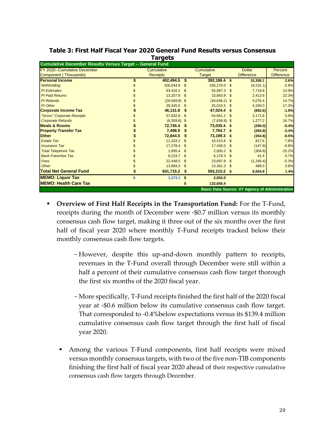|                                                                  |    | .                 |      |                   |      |                                                       |                   |  |  |  |  |  |  |
|------------------------------------------------------------------|----|-------------------|------|-------------------|------|-------------------------------------------------------|-------------------|--|--|--|--|--|--|
| <b>Cumulative December Results Versus Target -- General Fund</b> |    |                   |      |                   |      |                                                       |                   |  |  |  |  |  |  |
| FY 2020--Cumulative December                                     |    | <b>Cumulative</b> |      | <b>Cumulative</b> |      | <b>Dollar</b>                                         | Percent           |  |  |  |  |  |  |
| Component (Thousands)                                            |    | <b>Receipts</b>   |      | <b>Target</b>     |      | <b>Difference</b>                                     | <b>Difference</b> |  |  |  |  |  |  |
| <b>Personal Income</b>                                           | \$ | 402,494.5 \$      |      | 392,186.4         | -\$  | 10,308.1                                              | 2.6%              |  |  |  |  |  |  |
| Withholding                                                      |    | 326,044.9         | \$   | 335.276.0         | -S   | (9,231.1)                                             | $-2.8%$           |  |  |  |  |  |  |
| <b>PI</b> Estimates                                              |    | 63,416.1 \$       |      | 55.697.3          | -\$  | 7.718.8                                               | 13.9%             |  |  |  |  |  |  |
| <b>PI Paid Returns</b>                                           |    | 13,257.8          | \$   | 10,843.9          | -\$  | 2,413.9                                               | 22.3%             |  |  |  |  |  |  |
| <b>PI</b> Refunds                                                |    | $(29,569.8)$ \$   |      | $(34, 646.2)$ \$  |      | 5,076.4                                               | 14.7%             |  |  |  |  |  |  |
| PI Other                                                         |    | 29,345.5          | - \$ | 25,015.5          | -S   | 4,330.0                                               | 17.3%             |  |  |  |  |  |  |
| <b>Corporate Income Tax</b>                                      |    | 46,131.8          |      | 47,024.4          | £.   | (892.6)                                               | $-1.9%$           |  |  |  |  |  |  |
| "Gross" Corporate Receipts                                       |    | 57,832.8 \$       |      | 54.661.2          | \$   | 3,171.6                                               | 5.8%              |  |  |  |  |  |  |
| <b>Corporate Refunds</b>                                         |    | $(6,359.6)$ \$    |      | $(7,636.8)$ \$    |      | 1,277.2                                               | 16.7%             |  |  |  |  |  |  |
| <b>Meals &amp; Rooms</b>                                         |    | 72,745.4          |      | 73,035.4          | - \$ | (290.0)                                               | $-0.4%$           |  |  |  |  |  |  |
| <b>Property Transfer Tax</b>                                     |    | 7,498.9           |      | 7,764.7           | \$   | (265.8)                                               | $-3.4%$           |  |  |  |  |  |  |
| <b>Other</b>                                                     |    | 72,844.5          |      | 73,199.3          | £.   | (354.8)                                               | $-0.5%$           |  |  |  |  |  |  |
| <b>Estate Tax</b>                                                |    | 11,333.2 \$       |      | 10.515.6          | \$   | 817.6                                                 | 7.8%              |  |  |  |  |  |  |
| <b>Insurance Tax</b>                                             |    | 17,278.4 \$       |      | 17,426.0          | \$   | (147.6)                                               | $-0.8%$           |  |  |  |  |  |  |
| <b>Total Telephone Tax</b>                                       |    | $1,695.4$ \$      |      | 2,000.2           | \$   | (304.8)                                               | $-15.2%$          |  |  |  |  |  |  |
| <b>Bank Franchise Tax</b>                                        |    | 6,219.7           | -\$  | 6.178.3           | \$   | 41.4                                                  | 0.7%              |  |  |  |  |  |  |
| Fees                                                             |    | 22,448.5          | - \$ | 23.697.9          | \$   | (1,249.4)                                             | $-5.3%$           |  |  |  |  |  |  |
| Other                                                            |    | 13,869.3 \$       |      | 13,381.3          | -\$  | 488.0                                                 | 3.6%              |  |  |  |  |  |  |
| <b>Total Net General Fund</b>                                    |    | 601,715.2 \$      |      | 593,210.2 \$      |      | 8,504.9                                               | 1.4%              |  |  |  |  |  |  |
| <b>MEMO: Liquor Tax</b>                                          | \$ | 1,373.1           | \$   | 2,052.0           |      |                                                       |                   |  |  |  |  |  |  |
| <b>IMEMO: Health Care Tax</b>                                    |    |                   |      | 132,656.4         |      |                                                       |                   |  |  |  |  |  |  |
|                                                                  |    |                   |      |                   |      | <b>Basic Data Source: VT Agency of Administration</b> |                   |  |  |  |  |  |  |

## **Table 3: First Half Fiscal Year 2020 General Fund Results versus Consensus Targets**

- **Overview of First Half Receipts in the Transportation Fund:** For the T-Fund, receipts during the month of December were -\$0.7 million versus its monthly consensus cash flow target, making it three out of the six months over the first half of fiscal year 2020 where monthly T-Fund receipts tracked below their monthly consensus cash flow targets.
	- However, despite this up-and-down monthly pattern to receipts, revenues in the T-Fund overall through December were still within a half a percent of their cumulative consensus cash flow target thorough the first six months of the 2020 fiscal year.
	- -More specifically, T-Fund receipts finished the first half of the 2020 fiscal year at -\$0.6 million below its cumulative consensus cash flow target. That corresponded to -0.4%below expectations versus its \$139.4 million cumulative consensus cash flow target through the first half of fiscal year 2020.
	- Among the various T-Fund components, first half receipts were mixed versus monthly consensus targets, with two of the five non-TIB components finishing the first half of fiscal year 2020 ahead of their respective cumulative consensus cash flow targets through December.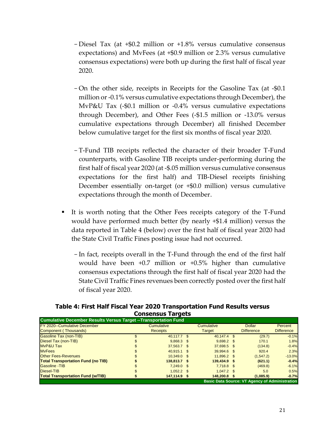- -Diesel Tax (at +\$0.2 million or +1.8% versus cumulative consensus expectations) and MvFees (at +\$0.9 million or 2.3% versus cumulative consensus expectations) were both up during the first half of fiscal year 2020.
- -On the other side, receipts in Receipts for the Gasoline Tax (at -\$0.1 million or -0.1% versus cumulative expectations through December), the MvP&U Tax (-\$0.1 million or -0.4% versus cumulative expectations through December), and Other Fees (-\$1.5 million or -13.0% versus cumulative expectations through December) all finished December below cumulative target for the first six months of fiscal year 2020.
- -T-Fund TIB receipts reflected the character of their broader T-Fund counterparts, with Gasoline TIB receipts under-performing during the first half of fiscal year 2020 (at -\$.05 million versus cumulative consensus expectations for the first half) and TIB-Diesel receipts finishing December essentially on-target (or +\$0.0 million) versus cumulative expectations through the month of December.
- It is worth noting that the Other Fees receipts category of the T-Fund would have performed much better (by nearly +\$1.4 million) versus the data reported in Table 4 (below) over the first half of fiscal year 2020 had the State Civil Traffic Fines posting issue had not occurred.
	- -In fact, receipts overall in the T-Fund through the end of the first half would have been +0.7 million or +0.5% higher than cumulative consensus expectations through the first half of fiscal year 2020 had the State Civil Traffic Fines revenues been correctly posted over the first half of fiscal year 2020.

# **Table 4: First Half Fiscal Year 2020 Transportation Fund Results versus Consensus Targets**

| <b>Cumulative December Results Versus Target -- Transportation Fund</b> |                   |              |                                                       |                   |
|-------------------------------------------------------------------------|-------------------|--------------|-------------------------------------------------------|-------------------|
| <b>FY 2020--Cumulative December</b>                                     | <b>Cumulative</b> | Cumulative   | <b>Dollar</b>                                         | Percent           |
| Component (Thousands)                                                   | <b>Receipts</b>   | Target       | <b>Difference</b>                                     | <b>Difference</b> |
| Gasoline Tax (non-TIB)                                                  | 40.117.7 \$       | 40.147.4 \$  | (29.7)                                                | $-0.1%$           |
| Diesel Tax (non-TIB)                                                    | $9.868.3$ \$      | $9.698.2$ \$ | 170.1                                                 | 1.8%              |
| <b>MvP&amp;U Tax</b>                                                    | 37.563.7 \$       | 37.698.5 \$  | (134.8)                                               | $-0.4%$           |
| <b>MvFees</b>                                                           | $40.915.1$ \$     | 39.994.6 \$  | 920.4                                                 | 2.3%              |
| <b>Other Fees-Revenues</b>                                              | 10.349.0 \$       | 11.896.2 \$  | (1.547.2)                                             | $-13.0%$          |
| <b>Total Transportation Fund (no TIB)</b>                               | 138.813.7 \$      | 139.434.9 \$ | (621.1)                                               | $-0.4%$           |
| <b>Gasoline -TIB</b>                                                    | $7.249.0$ \$      | $7.718.8$ \$ | (469.8)                                               | $-6.1%$           |
| Diesel-TIB                                                              | $1.052.2$ \$      | $1.047.2$ \$ | 5.0                                                   | 0.5%              |
| <b>Total Transportation Fund (w/TIB)</b>                                | 147.114.9 \$      | 148.200.8 \$ | (1.085.9)                                             | $-0.7%$           |
|                                                                         |                   |              | <b>Basic Data Source: VT Agency of Administration</b> |                   |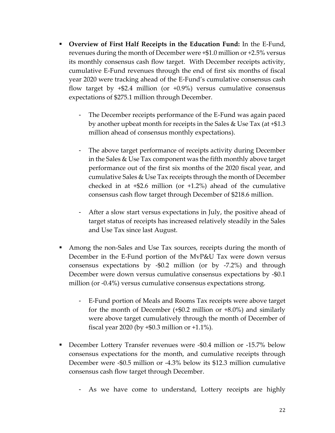- **Overview of First Half Receipts in the Education Fund:** In the E-Fund, revenues during the month of December were +\$1.0 million or +2.5% versus its monthly consensus cash flow target. With December receipts activity, cumulative E-Fund revenues through the end of first six months of fiscal year 2020 were tracking ahead of the E-Fund's cumulative consensus cash flow target by  $+$ \$2.4 million (or  $+$ 0.9%) versus cumulative consensus expectations of \$275.1 million through December.
	- The December receipts performance of the E-Fund was again paced by another upbeat month for receipts in the Sales & Use Tax (at +\$1.3 million ahead of consensus monthly expectations).
	- The above target performance of receipts activity during December in the Sales & Use Tax component was the fifth monthly above target performance out of the first six months of the 2020 fiscal year, and cumulative Sales & Use Tax receipts through the month of December checked in at +\$2.6 million (or +1.2%) ahead of the cumulative consensus cash flow target through December of \$218.6 million.
	- After a slow start versus expectations in July, the positive ahead of target status of receipts has increased relatively steadily in the Sales and Use Tax since last August.
- Among the non-Sales and Use Tax sources, receipts during the month of December in the E-Fund portion of the MvP&U Tax were down versus consensus expectations by -\$0.2 million (or by -7.2%) and through December were down versus cumulative consensus expectations by -\$0.1 million (or -0.4%) versus cumulative consensus expectations strong.
	- E-Fund portion of Meals and Rooms Tax receipts were above target for the month of December  $(+\$0.2$  million or  $+8.0\%)$  and similarly were above target cumulatively through the month of December of fiscal year 2020 (by  $+$ \$0.3 million or  $+1.1\%$ ).
- December Lottery Transfer revenues were -\$0.4 million or -15.7% below consensus expectations for the month, and cumulative receipts through December were -\$0.5 million or -4.3% below its \$12.3 million cumulative consensus cash flow target through December.
	- As we have come to understand, Lottery receipts are highly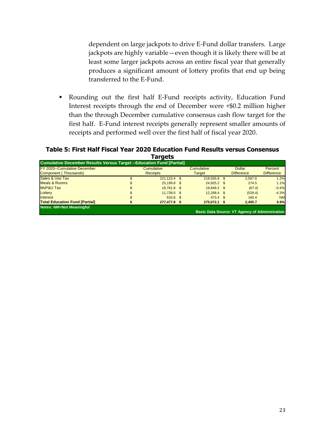dependent on large jackpots to drive E-Fund dollar transfers. Large jackpots are highly variable—even though it is likely there will be at least some larger jackpots across an entire fiscal year that generally produces a significant amount of lottery profits that end up being transferred to the E-Fund.

▪ Rounding out the first half E-Fund receipts activity, Education Fund Interest receipts through the end of December were +\$0.2 million higher than the through December cumulative consensus cash flow target for the first half. E-Fund interest receipts generally represent smaller amounts of receipts and performed well over the first half of fiscal year 2020.

# **Table 5: First Half Fiscal Year 2020 Education Fund Results versus Consensus Targets**

| <b>Cumulative December Results Versus Target --Education Fund [Partial]</b> |                 |        |                   |  |                                                       |                   |
|-----------------------------------------------------------------------------|-----------------|--------|-------------------|--|-------------------------------------------------------|-------------------|
| FY 2020--Cumulative December                                                | Cumulative      |        | <b>Cumulative</b> |  | <b>Dollar</b>                                         | Percent           |
| Component (Thousands)                                                       | <b>Receipts</b> | Target |                   |  | <b>Difference</b>                                     | <b>Difference</b> |
| Sales & Use Tax                                                             | 221,123.4 \$    |        | 218,555.8 \$      |  | 2,567.6                                               | 1.2%              |
| <b>Meals &amp; Rooms</b>                                                    | 25,199.8 \$     |        | 24.925.2 \$       |  | 274.5                                                 | 1.1%              |
| <b>MvP&amp;U Tax</b>                                                        | 18.781.8 \$     |        | 18.849.2 \$       |  | (67.4)                                                | $-0.4%$           |
| Lottery                                                                     | 11,739.0 \$     |        | 12.268.4 \$       |  | (529.4)                                               | $-4.3%$           |
| Interest                                                                    | 633.8 \$        |        | $473.4$ \$        |  | 160.4                                                 | <b>NM</b>         |
| <b>Total Education Fund [Partial]</b>                                       | 277,477.8 \$    |        | 275.072.1 \$      |  | 2.405.7                                               | 0.9%              |
| <b>Notes: NM=Not Meaningful</b>                                             |                 |        |                   |  | <b>Basic Data Source: VT Agency of Administration</b> |                   |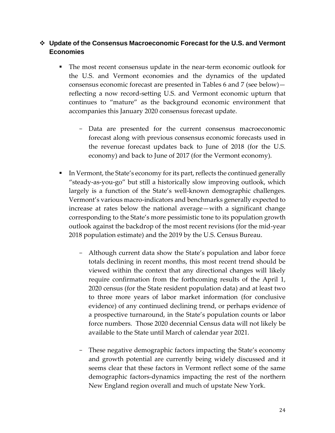# ❖ **Update of the Consensus Macroeconomic Forecast for the U.S. and Vermont Economies**

- The most recent consensus update in the near-term economic outlook for the U.S. and Vermont economies and the dynamics of the updated consensus economic forecast are presented in Tables 6 and 7 (see below) reflecting a now record-setting U.S. and Vermont economic upturn that continues to "mature" as the background economic environment that accompanies this January 2020 consensus forecast update.
	- Data are presented for the current consensus macroeconomic forecast along with previous consensus economic forecasts used in the revenue forecast updates back to June of 2018 (for the U.S. economy) and back to June of 2017 (for the Vermont economy).
- In Vermont, the State's economy for its part, reflects the continued generally "steady-as-you-go" but still a historically slow improving outlook, which largely is a function of the State's well-known demographic challenges. Vermont's various macro-indicators and benchmarks generally expected to increase at rates below the national average—with a significant change corresponding to the State's more pessimistic tone to its population growth outlook against the backdrop of the most recent revisions (for the mid-year 2018 population estimate) and the 2019 by the U.S. Census Bureau.
	- Although current data show the State's population and labor force totals declining in recent months, this most recent trend should be viewed within the context that any directional changes will likely require confirmation from the forthcoming results of the April 1, 2020 census (for the State resident population data) and at least two to three more years of labor market information (for conclusive evidence) of any continued declining trend, or perhaps evidence of a prospective turnaround, in the State's population counts or labor force numbers. Those 2020 decennial Census data will not likely be available to the State until March of calendar year 2021.
	- These negative demographic factors impacting the State's economy and growth potential are currently being widely discussed and it seems clear that these factors in Vermont reflect some of the same demographic factors-dynamics impacting the rest of the northern New England region overall and much of upstate New York.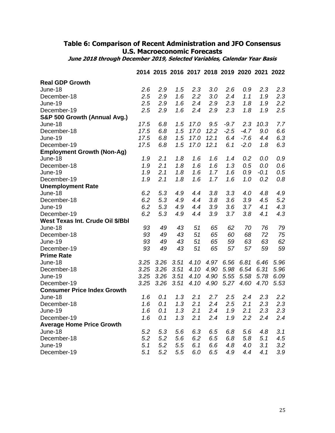# **Table 6: Comparison of Recent Administration and JFO Consensus U.S. Macroeconomic Forecasts**

**June 2018 through December 2019, Selected Variables, Calendar Year Basis**

|                                    |      |      |      | 2014 2015 2016 2017 2018 2019 2020 2021 2022 |      |        |        |        |         |
|------------------------------------|------|------|------|----------------------------------------------|------|--------|--------|--------|---------|
| <b>Real GDP Growth</b>             |      |      |      |                                              |      |        |        |        |         |
| June-18                            | 2.6  | 2.9  | 1.5  | 2.3                                          | 3.0  | 2.6    | 0.9    | 2.3    | 2.3     |
| December-18                        | 2.5  | 2.9  | 1.6  | 2.2                                          | 3.0  | 2.4    | 1.1    | 1.9    | 2.3     |
| June-19                            | 2.5  | 2.9  | 1.6  | 2.4                                          | 2.9  | 2.3    | 1.8    | 1.9    | 2.2     |
| December-19                        | 2.5  | 2.9  | 1.6  | 2.4                                          | 2.9  | 2.3    | 1.8    | 1.9    | 2.5     |
| S&P 500 Growth (Annual Avg.)       |      |      |      |                                              |      |        |        |        |         |
| June-18                            | 17.5 | 6.8  | 1.5  | 17.0                                         | 9.5  | $-9.7$ | 2.3    | 10.3   | 7.7     |
| December-18                        | 17.5 | 6.8  | 1.5  | 17.0                                         | 12.2 | $-2.5$ | $-4.7$ | 9.0    | 6.6     |
| June-19                            | 17.5 | 6.8  | 1.5  | 17.0                                         | 12.1 | 6.4    | $-7.6$ | 4.4    | 6.3     |
| December-19                        | 17.5 | 6.8  | 1.5  | 17.0                                         | 12.1 | 6.1    | $-2.0$ | 1.8    | 6.3     |
| <b>Employment Growth (Non-Ag)</b>  |      |      |      |                                              |      |        |        |        |         |
| June-18                            | 1.9  | 2.1  | 1.8  | 1.6                                          | 1.6  | 1.4    | 0.2    | 0.0    | 0.9     |
| December-18                        | 1.9  | 2.1  | 1.8  | 1.6                                          | 1.6  | 1.3    | 0.5    | 0.0    | 0.6     |
| June-19                            | 1.9  | 2.1  | 1.8  | 1.6                                          | 1.7  | 1.6    | 0.9    | $-0.1$ | 0.5     |
| December-19                        | 1.9  | 2.1  | 1.8  | 1.6                                          | 1.7  | 1.6    | 1.0    | 0.2    | 0.8     |
| <b>Unemployment Rate</b>           |      |      |      |                                              |      |        |        |        |         |
| June-18                            | 6.2  | 5.3  | 4.9  | 4.4                                          | 3.8  | 3.3    | 4.0    | 4.8    | 4.9     |
| December-18                        | 6.2  | 5.3  | 4.9  | 4.4                                          | 3.8  | 3.6    | 3.9    | 4.5    | 5.2     |
| June-19                            | 6.2  | 5.3  | 4.9  | 4.4                                          | 3.9  | 3.6    | 3.7    | 4.1    | 4.3     |
| December-19                        | 6.2  | 5.3  | 4.9  | 4.4                                          | 3.9  | 3.7    | 3.8    | 4.1    | 4.3     |
| West Texas Int. Crude Oil \$/Bbl   |      |      |      |                                              |      |        |        |        |         |
| June-18                            | 93   | 49   | 43   | 51                                           | 65   | 62     | 70     | 76     | 79      |
| December-18                        | 93   | 49   | 43   | 51                                           | 65   | 60     | 68     | 72     | 75      |
| June-19                            | 93   | 49   | 43   | 51                                           | 65   | 59     | 63     | 63     | 62      |
| December-19                        | 93   | 49   | 43   | 51                                           | 65   | 57     | 57     | 59     | 59      |
| <b>Prime Rate</b>                  |      |      |      |                                              |      |        |        |        |         |
| June-18                            | 3.25 | 3.26 | 3.51 | 4.10                                         | 4.97 | 6.56   | 6.81   | 6.46   | 5.96    |
| December-18                        | 3.25 | 3.26 | 3.51 | 4.10                                         | 4.90 | 5.98   | 6.54   | 6.31   | 5.96    |
| June-19                            | 3.25 | 3.26 | 3.51 | 4.10                                         | 4.90 | 5.55   | 5.58   | 5.78   | 6.09    |
| December-19                        | 3.25 | 3.26 | 3.51 | 4.10                                         | 4.90 | 5.27   | 4.60   | 4.70   | 5.53    |
| <b>Consumer Price Index Growth</b> |      |      |      |                                              |      |        |        |        |         |
| June-18                            | 1.6  | 0.1  | 1.3  | 2.1                                          | 2.7  | 2.5    | 2.4    | 2.3    | 2.2     |
| December-18                        | 1.6  | 0.1  | 1.3  | 2.1                                          | 2.4  | 2.5    | 2.1    | 2.3    | 2.3     |
| June-19                            | 1.6  | 0.1  | 1.3  | 2.1                                          | 2.4  | 1.9    | 2.1    | 2.3    | 2.3     |
| December-19                        | 1.6  | 0.1  | 1.3  | 2.1                                          | 2.4  | 1.9    | 2.2    | 2.4    | $2.4\,$ |
| <b>Average Home Price Growth</b>   |      |      |      |                                              |      |        |        |        |         |
| June-18                            | 5.2  | 5.3  | 5.6  | 6.3                                          | 6.5  | 6.8    | 5.6    | 4.8    | 3.1     |
| December-18                        | 5.2  | 5.2  | 5.6  | 6.2                                          | 6.5  | 6.8    | 5.8    | 5.1    | 4.5     |
| June-19                            | 5.1  | 5.2  | 5.5  | 6.1                                          | 6.6  | 4.8    | 4.0    | 3.1    | 3.2     |
| December-19                        | 5.1  | 5.2  | 5.5  | 6.0                                          | 6.5  | 4.9    | 4.4    | 4.1    | 3.9     |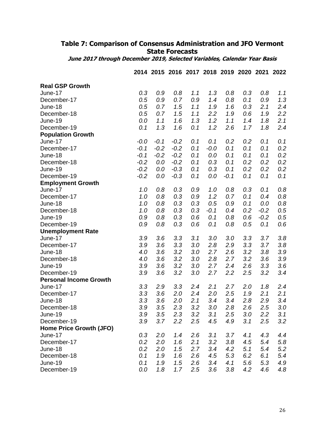# **Table 7: Comparison of Consensus Administration and JFO Vermont State Forecasts**

**June 2017 through December 2019, Selected Variables, Calendar Year Basis**

| <b>Real GSP Growth</b>        |        |        |        |     |        |        |     |        |     |
|-------------------------------|--------|--------|--------|-----|--------|--------|-----|--------|-----|
| June-17                       | 0.3    | 0.9    | 0.8    | 1.1 | 1.3    | 0.8    | 0.3 | 0.8    | 1.1 |
| December-17                   | 0.5    | 0.9    | 0.7    | 0.9 | 1.4    | 0.8    | 0.1 | 0.9    | 1.3 |
| June-18                       | 0.5    | 0.7    | 1.5    | 1.1 | 1.9    | 1.6    | 0.3 | 2.1    | 2.4 |
| December-18                   | 0.5    | 0.7    | 1.5    | 1.1 | 2.2    | 1.9    | 0.6 | 1.9    | 2.2 |
| June-19                       | 0.0    | 1.1    | 1.6    | 1.3 | 1.2    | 1.1    | 1.4 | 1.8    | 2.1 |
| December-19                   | 0.1    | 1.3    | 1.6    | 0.1 | 1.2    | 2.6    | 1.7 | 1.8    | 2.4 |
| <b>Population Growth</b>      |        |        |        |     |        |        |     |        |     |
| June-17                       | $-0.0$ | $-0.1$ | $-0.2$ | 0.1 | 0.1    | 0.2    | 0.2 | 0.1    | 0.1 |
| December-17                   | $-0.1$ | $-0.2$ | $-0.2$ | 0.1 | $-0.0$ | 0.1    | 0.1 | 0.1    | 0.2 |
| June-18                       | $-0.1$ | $-0.2$ | $-0.2$ | 0.1 | 0.0    | 0.1    | 0.1 | 0.1    | 0.2 |
| December-18                   | $-0.2$ | 0.0    | $-0.2$ | 0.1 | 0.3    | 0.1    | 0.2 | 0.2    | 0.2 |
| June-19                       | $-0.2$ | 0.0    | $-0.3$ | 0.1 | 0.3    | 0.1    | 0.2 | 0.2    | 0.2 |
| December-19                   | $-0.2$ | 0.0    | $-0.3$ | 0.1 | 0.0    | $-0.1$ | 0.1 | 0.1    | 0.1 |
| <b>Employment Growth</b>      |        |        |        |     |        |        |     |        |     |
| June-17                       | 1.0    | 0.8    | 0.3    | 0.9 | 1.0    | 0.8    | 0.3 | 0.1    | 0.8 |
| December-17                   | 1.0    | 0.8    | 0.3    | 0.9 | 1.2    | 0.7    | 0.1 | 0.4    | 0.8 |
| June-18                       | 1.0    | 0.8    | 0.3    | 0.3 | 0.5    | 0.9    | 0.1 | 0.0    | 0.8 |
| December-18                   | 1.0    | 0.8    | 0.3    | 0.3 | $-0.1$ | 0.4    | 0.2 | $-0.2$ | 0.5 |
| June-19                       | 0.9    | 0.8    | 0.3    | 0.6 | 0.1    | 0.8    | 0.6 | $-0.2$ | 0.5 |
| December-19                   | 0.9    | 0.8    | 0.3    | 0.6 | 0.1    | 0.8    | 0.5 | 0.1    | 0.6 |
| <b>Unemployment Rate</b>      |        |        |        |     |        |        |     |        |     |
| June-17                       | 3.9    | 3.6    | 3.3    | 3.1 | 3.0    | 3.0    | 3.3 | 3.7    | 3.8 |
| December-17                   | 3.9    | 3.6    | 3.3    | 3.0 | 2.8    | 2.9    | 3.3 | 3.7    | 3.8 |
| June-18                       | 4.0    | 3.6    | 3.2    | 3.0 | 2.7    | 2.6    | 3.2 | 3.8    | 3.9 |
| December-18                   | 4.0    | 3.6    | 3.2    | 3.0 | 2.8    | 2.7    | 3.2 | 3.6    | 3.9 |
| June-19                       | 3.9    | 3.6    | 3.2    | 3.0 | 2.7    | 2.4    | 2.6 | 3.3    | 3.6 |
| December-19                   | 3.9    | 3.6    | 3.2    | 3.0 | 2.7    | 2.2    | 2.5 | 3.2    | 3.4 |
| <b>Personal Income Growth</b> |        |        |        |     |        |        |     |        |     |
| June-17                       | 3.3    | 2.9    | 3.3    | 2.4 | 2.1    | 2.7    | 2.0 | 1.8    | 2.4 |
| December-17                   | 3.3    | 3.6    | 2.0    | 2.4 | 2.0    | 2.5    | 1.9 | 2.1    | 2.1 |
| June-18                       | 3.3    | 3.6    | 2.0    | 2.1 | 3.4    | 3.4    | 2.8 | 2.9    | 3.4 |
| December-18                   | 3.9    | 3.5    | 2.3    | 3.2 | 3.0    | 2.8    | 2.6 | 2.5    | 3.0 |
| June-19                       | 3.9    | 3.5    | 2.3    | 3.2 | 3.1    | 2.5    | 3.0 | 2.2    | 3.1 |
| December-19                   | 3.9    | 3.7    | 2.2    | 2.5 | 4.5    | 4.9    | 3.1 | 2.5    | 3.2 |
| Home Price Growth (JFO)       |        |        |        |     |        |        |     |        |     |
| June-17                       | 0.3    | 2.0    | 1.4    | 2.6 | 3.1    | 3.7    | 4.1 | 4.3    | 4.4 |
| December-17                   | 0.2    | 2.0    | 1.6    | 2.1 | 3.2    | 3.8    | 4.5 | 5.4    | 5.8 |
| June-18                       | 0.2    | 2.0    | 1.5    | 2.7 | 3.4    | 4.2    | 5.1 | 5.4    | 5.2 |
| December-18                   | 0.1    | 1.9    | 1.6    | 2.6 | 4.5    | 5.3    | 6.2 | 6.1    | 5.4 |
| June-19                       | 0.1    | 1.9    | 1.5    | 2.6 | 3.4    | 4.1    | 5.6 | 5.3    | 4.9 |
| December-19                   | 0.0    | 1.8    | 1.7    | 2.5 | 3.6    | 3.8    | 4.2 | 4.6    | 4.8 |

**2014 2015 2016 2017 2018 2019 2020 2021 2022**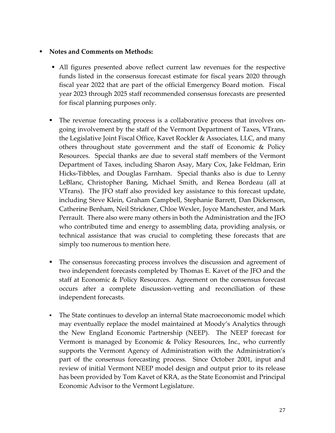# ▪ **Notes and Comments on Methods:**

- All figures presented above reflect current law revenues for the respective funds listed in the consensus forecast estimate for fiscal years 2020 through fiscal year 2022 that are part of the official Emergency Board motion. Fiscal year 2023 through 2025 staff recommended consensus forecasts are presented for fiscal planning purposes only.
- The revenue forecasting process is a collaborative process that involves ongoing involvement by the staff of the Vermont Department of Taxes, VTrans, the Legislative Joint Fiscal Office, Kavet Rockler & Associates, LLC, and many others throughout state government and the staff of Economic & Policy Resources. Special thanks are due to several staff members of the Vermont Department of Taxes, including Sharon Asay, Mary Cox, Jake Feldman, Erin Hicks-Tibbles, and Douglas Farnham. Special thanks also is due to Lenny LeBlanc, Christopher Baning, Michael Smith, and Renea Bordeau (all at VTrans). The JFO staff also provided key assistance to this forecast update, including Steve Klein, Graham Campbell, Stephanie Barrett, Dan Dickenson, Catherine Benham, Neil Strickner, Chloe Wexler, Joyce Manchester, and Mark Perrault. There also were many others in both the Administration and the JFO who contributed time and energy to assembling data, providing analysis, or technical assistance that was crucial to completing these forecasts that are simply too numerous to mention here.
- The consensus forecasting process involves the discussion and agreement of two independent forecasts completed by Thomas E. Kavet of the JFO and the staff at Economic & Policy Resources. Agreement on the consensus forecast occurs after a complete discussion-vetting and reconciliation of these independent forecasts.
- **•** The State continues to develop an internal State macroeconomic model which may eventually replace the model maintained at Moody's Analytics through the New England Economic Partnership (NEEP). The NEEP forecast for Vermont is managed by Economic & Policy Resources, Inc., who currently supports the Vermont Agency of Administration with the Administration's part of the consensus forecasting process. Since October 2001, input and review of initial Vermont NEEP model design and output prior to its release has been provided by Tom Kavet of KRA, as the State Economist and Principal Economic Advisor to the Vermont Legislature.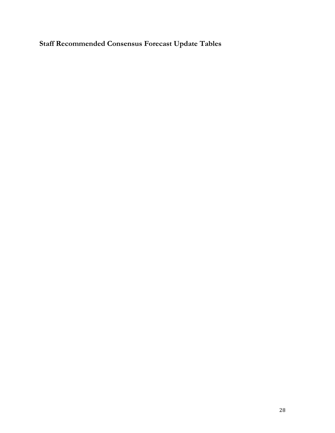**Staff Recommended Consensus Forecast Update Tables**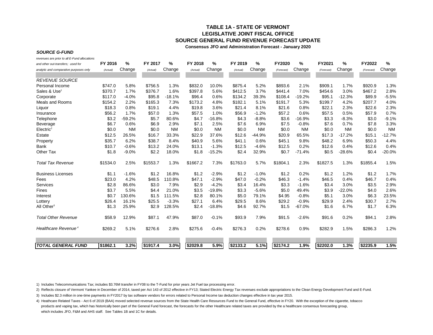## **TABLE 1A - STATE OF VERMONTLEGISLATIVE JOINT FISCAL OFFICESOURCE GENERAL FUND REVENUE FORECAST UPDATE**

**Consensus JFO and Administration Forecast - January 2020**

#### *SOURCE G-FUND*

*revenues are prior to all E-Fund allocations*

| and other out-transfers; used for      | FY 2016  | %         | FY 2017  | %         | FY 2018  | %         | FY 2019  | %         | FY2020     | %         | FY2021     | $\%$      | FY2022     | %         |
|----------------------------------------|----------|-----------|----------|-----------|----------|-----------|----------|-----------|------------|-----------|------------|-----------|------------|-----------|
| analytic and comparative purposes only | (Actual) | Change    | (Actual) | Change    | (Actual) | Change    | (Actual) | Change    | (Forecast) | Change    | (Forecast) | Change    | (Forecast) | Change    |
|                                        |          |           |          |           |          |           |          |           |            |           |            |           |            |           |
| <b>REVENUE SOURCE</b>                  |          |           |          |           |          |           |          |           |            |           |            |           |            |           |
| Personal Income                        | \$747.0  | 5.8%      | \$756.5  | 1.3%      | \$832.0  | 10.0%     | \$875.4  | 5.2%      | \$893.6    | 2.1%      | \$909.1    | 1.7%      | \$920.9    | 1.3%      |
| Sales & Use <sup>1</sup>               | \$370.7  | 1.7%      | \$376.7  | 1.6%      | \$397.8  | 5.6%      | \$412.5  | 3.7%      | \$441.4    | 7.0%      | \$454.6    | 3.0%      | \$467.2    | 2.8%      |
| Corporate                              | \$117.0  | $-4.0%$   | \$95.8   | $-18.1%$  | \$96.4   | 0.6%      | \$134.2  | 39.3%     | \$108.4    | $-19.2%$  | \$95.1     | $-12.3%$  | \$89.9     | $-5.5%$   |
| Meals and Rooms                        | \$154.2  | 2.2%      | \$165.3  | 7.3%      | \$173.2  | 4.8%      | \$182.1  | 5.1%      | \$191.7    | 5.3%      | \$199.7    | 4.2%      | \$207.7    | 4.0%      |
| Liquor                                 | \$18.3   | 0.8%      | \$19.1   | 4.4%      | \$19.8   | 3.6%      | \$21.4   | 8.1%      | \$21.6     | 0.8%      | \$22.1     | 2.3%      | \$22.6     | 2.3%      |
| Insurance                              | \$56.2   | 1.7%      | \$57.0   | 1.3%      | \$57.5   | 1.0%      | \$56.9   | $-1.2%$   | \$57.2     | 0.6%      | \$57.5     | 0.5%      | \$57.9     | 0.7%      |
| Telephone                              | \$3.2    | $-59.2%$  | \$5.7    | 80.6%     | \$4.7    | $-16.8%$  | \$4.3    | $-8.8%$   | \$3.6      | $-16.9%$  | \$3.3      | $-8.3%$   | \$3.0      | $-9.1%$   |
| Beverage                               | \$6.7    | 0.6%      | \$6.9    | 2.9%      | \$7.1    | 2.5%      | \$7.6    | 6.9%      | \$7.5      | $-0.8%$   | \$7.6      | 0.7%      | \$7.8      | 3.3%      |
| Electric <sup>2</sup>                  | \$0.0    | <b>NM</b> | \$0.0    | <b>NM</b> | \$0.0    | <b>NM</b> | \$0.0    | <b>NM</b> | \$0.0      | <b>NM</b> | \$0.0      | <b>NM</b> | \$0.0      | <b>NM</b> |
| Estate                                 | \$12.5   | 26.5%     | \$16.7   | 33.3%     | \$22.9   | 37.6%     | \$12.6   | $-44.9%$  | \$20.9     | 65.5%     | \$17.3     | $-17.2%$  | \$15.1     | $-12.7%$  |
| Property                               | \$35.7   | 6.2%      | \$38.7   | 8.4%      | \$40.9   | 5.6%      | \$41.1   | 0.6%      | \$45.1     | 9.8%      | \$48.2     | 6.9%      | \$50.3     | 4.4%      |
| Bank                                   | \$10.7   | $-0.6%$   | \$13.2   | 24.0%     | \$13.1   | $-1.3%$   | \$12.5   | $-4.6%$   | \$12.5     | 0.2%      | \$12.6     | 0.4%      | \$12.6     | 0.4%      |
| Other Tax                              | \$1.8    | $-9.0%$   | \$2.2    | 18.0%     | \$1.8    | $-15.2%$  | \$2.4    | 32.9%     | \$0.7      | $-71.4%$  | \$0.5      | $-28.6%$  | \$0.4      | $-20.0%$  |
| <b>Total Tax Revenue</b>               | \$1534.0 | 2.5%      | \$1553.7 | 1.3%      | \$1667.2 | 7.3%      | \$1763.0 | 5.7%      | \$1804.1   | 2.3%      | \$1827.5   | 1.3%      | \$1855.4   | 1.5%      |
| <b>Business Licenses</b>               | \$1.1    | $-1.6%$   | \$1.2    | 16.8%     | \$1.2    | $-2.9%$   | \$1.2    | $-1.0%$   | \$1.2      | 0.2%      | \$1.2      | 1.2%      | \$1.2      | 1.7%      |
| Fees                                   | \$23.0   | 4.2%      | \$48.5   | 110.8%    | \$47.1   | $-2.9%$   | \$47.0   | $-0.2%$   | \$46.3     | $-1.4%$   | \$46.5     | 0.4%      | \$46.7     | 0.4%      |
| <b>Services</b>                        | \$2.8    | 86.6%     | \$3.0    | 7.9%      | \$2.9    | $-4.2%$   | \$3.4    | 16.4%     | \$3.3      | $-1.6%$   | \$3.4      | 3.0%      | \$3.5      | 2.9%      |
| Fines                                  | \$3.7    | 5.5%      | \$4.4    | 21.0%     | \$3.5    | $-19.8%$  | \$3.3    | $-5.6%$   | \$5.0      | 49.4%     | \$3.9      | $-22.0%$  | \$4.0      | 2.6%      |
| Interest                               | \$0.7    | 130.6%    | \$1.5    | 111.5%    | \$2.8    | 80.1%     | \$5.0    | 79.1%     | \$4.95     | $-0.8%$   | \$5.1      | 3.0%      | \$6.3      | 23.5%     |
| Lottery                                | \$26.4   | 16.1%     | \$25.5   | $-3.3%$   | \$27.1   | 6.4%      | \$29.5   | 8.6%      | \$29.2     | $-0.9%$   | \$29.9     | 2.4%      | \$30.7     | 2.7%      |
| All Other <sup>3</sup>                 | \$1.3    | 25.9%     | \$2.9    | 128.5%    | \$2.4    | $-18.8%$  | \$4.6    | 92.7%     | \$1.5      | $-67.0%$  | \$1.6      | 6.7%      | \$1.7      | 6.3%      |
| <b>Total Other Revenue</b>             | \$58.9   | 12.9%     | \$87.1   | 47.9%     | \$87.0   | $-0.1%$   | \$93.9   | 7.9%      | \$91.5     | $-2.6%$   | \$91.6     | 0.2%      | \$94.1     | 2.8%      |
| Healthcare Revenue <sup>4</sup>        | \$269.2  | 5.1%      | \$276.6  | 2.8%      | \$275.6  | $-0.4%$   | \$276.3  | 0.2%      | \$278.6    | 0.9%      | \$282.9    | 1.5%      | \$286.3    | 1.2%      |
|                                        |          |           |          |           |          |           |          |           |            |           |            |           |            |           |
| <b>TOTAL GENERAL FUND</b>              | \$1862.1 | 3.2%      | \$1917.4 | 3.0%      | \$2029.8 | 5.9%      | \$2133.2 | 5.1%      | \$2174.2   | 1.9%      | \$2202.0   | 1.3%      | \$2235.9   | 1.5%      |

1) Includes Telecommunications Tax; includes \$3.76M transfer in FY08 to the T-Fund for prior years Jet Fuel tax processing error.

2) Reflects closure of Vermont Yankee in December of 2014, taxed per Act 143 of 2012 effective in FY13; Stated Electric Energy Tax revenues exclude appropriations to the Clean Energy Development Fund and E-Fund.

3) Includes \$2.3 million in one-time payments in FY2017 by tax software vendors for errors related to Personal Income tax deduction changes effective in tax year 2015.

4) Heathcare Related Taxes - Act 6 of 2019 (BAA) moved selected revenue sources from the State Health Care Resources Fund to the General Fund, effective in FY20. With the exception of the cigarette, tobacco products and vaping tax, which has historically been part of the General Fund forecast, the forecasts for the other Healthcare related taxes are provided by the a healthcare consensus forecasting group, which includes JFO, F&M and AHS staff. See Tables 1B and 1C for details.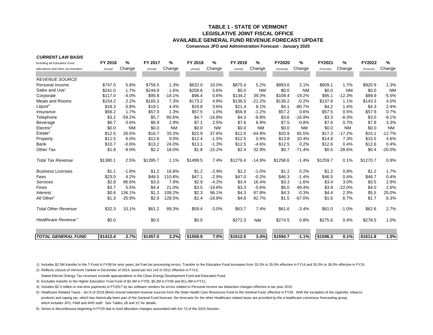## **LEGISLATIVE JOINT FISCAL OFFICEAVAILABLE GENERAL FUND REVENUE FORECAST UPDATETABLE 1 - STATE OF VERMONT**

**Consensus JFO and Administration Forecast - January 2020**

| including all Education Fund        | FY 2016  | %         | FY 2017  | %         | FY 2018  | %         | FY 2019  | ℅         | <b>FY2020</b> | ℅         | FY2021     | %         | FY2022     | %         |
|-------------------------------------|----------|-----------|----------|-----------|----------|-----------|----------|-----------|---------------|-----------|------------|-----------|------------|-----------|
| allocations and other out-transfers | (Actual) | Change    | (Actual) | Change    | (Actual) | Change    | (Actual) | Change    | (Forecast)    | Change    | (Forecast) | Change    | (Forecast) | Change    |
|                                     |          |           |          |           |          |           |          |           |               |           |            |           |            |           |
| <b>REVENUE SOURCE</b>               |          |           |          |           |          |           |          |           |               |           |            |           |            |           |
| Personal Income                     | \$747.0  | 5.8%      | \$756.5  | 1.3%      | \$832.0  | 10.0%     | \$875.4  | 5.2%      | \$893.6       | 2.1%      | \$909.1    | 1.7%      | \$920.9    | 1.3%      |
| Sales and Use <sup>1</sup>          | \$241.0  | 1.7%      | \$244.9  | 1.6%      | \$258.6  | 5.6%      | \$0.0    | <b>NM</b> | \$0.0         | <b>NM</b> | \$0.0      | <b>NM</b> | \$0.0      | <b>NM</b> |
| Corporate                           | \$117.0  | $-4.0%$   | \$95.8   | $-18.1%$  | \$96.4   | 0.6%      | \$134.2  | 39.3%     | \$108.4       | $-19.2%$  | \$95.1     | $-12.3%$  | \$89.9     | $-5.5%$   |
| <b>Meals and Rooms</b>              | \$154.2  | 2.2%      | \$165.3  | 7.3%      | \$173.2  | 4.8%      | \$136.5  | $-21.2%$  | \$136.2       | $-0.2%$   | \$137.8    | 1.1%      | \$143.3    | 4.0%      |
| Liquor <sup>6</sup>                 | \$18.3   | 0.8%      | \$19.1   | 4.4%      | \$19.8   | 3.6%      | \$21.4   | 8.1%      | \$4.1         | $-80.7%$  | \$4.2      | 1.4%      | \$4.3      | 2.4%      |
| Insurance                           | \$56.2   | 1.7%      | \$57.0   | 1.3%      | \$57.5   | 1.0%      | \$56.9   | $-1.2%$   | \$57.2        | 0.6%      | \$57.5     | 0.5%      | \$57.9     | 0.7%      |
| Telephone                           | \$3.2    | $-59.2%$  | \$5.7    | 80.6%     | \$4.7    | $-16.8%$  | \$4.3    | $-8.8%$   | \$3.6         | $-16.9%$  | \$3.3      | $-8.3%$   | \$3.0      | $-9.1%$   |
| <b>Beverage</b>                     | \$6.7    | 0.6%      | \$6.9    | 2.9%      | \$7.1    | 2.5%      | \$7.6    | 6.9%      | \$7.5         | $-0.8%$   | \$7.6      | 0.7%      | \$7.8      | 3.3%      |
| Electric <sup>2</sup>               | \$0.0    | <b>NM</b> | \$0.0    | <b>NM</b> | \$0.0    | <b>NM</b> | \$0.0    | <b>NM</b> | \$0.0         | <b>NM</b> | \$0.0      | <b>NM</b> | \$0.0      | <b>NM</b> |
| Estate <sup>3</sup>                 | \$12.5   | 26.5%     | \$16.7   | 33.3%     | \$22.9   | 37.6%     | \$12.6   | $-44.9%$  | \$20.9        | 65.5%     | \$17.3     | $-17.2%$  | \$15.1     | $-12.7%$  |
| Property                            | \$11.5   | 6.0%      | \$12.6   | 9.0%      | \$12.4   | $-1.5%$   | \$12.5   | 0.9%      | \$13.8        | 10.4%     | \$14.8     | 7.3%      | \$15.5     | 4.6%      |
| <b>Bank</b>                         | \$10.7   | $-0.6%$   | \$13.2   | 24.0%     | \$13.1   | $-1.3%$   | \$12.5   | $-4.6%$   | \$12.5        | 0.2%      | \$12.6     | 0.4%      | \$12.6     | 0.4%      |
| Other Tax                           | \$1.8    | $-9.0%$   | \$2.2    | 18.0%     | \$1.8    | $-15.2%$  | \$2.4    | 32.9%     | \$0.7         | $-71.4%$  | \$0.5      | $-28.6%$  | \$0.4      | $-20.0%$  |
| <b>Total Tax Revenue</b>            | \$1380.1 | 2.5%      | \$1395.7 | 1.1%      | \$1499.5 | 7.4%      | \$1276.4 | $-14.9%$  | \$1258.6      | $-1.4%$   | \$1259.7   | 0.1%      | \$1270.7   | 0.9%      |
| <b>Business Licenses</b>            | \$1.1    | $-1.6%$   | \$1.2    | 16.8%     | \$1.2    | $-2.9%$   | \$1.2    | $-1.0%$   | \$1.2         | 0.2%      | \$1.2      | 0.8%      | \$1.2      | 1.7%      |
| Fees                                | \$23.0   | 4.2%      | \$48.5   | 110.8%    | \$47.1   | $-2.9%$   | \$47.0   | $-0.2%$   | \$46.3        | $-1.4%$   | \$46.5     | 0.4%      | \$46.7     | 0.4%      |
| Services                            | \$2.8    | 86.6%     | \$3.0    | 7.9%      | \$2.9    | $-4.2%$   | \$3.4    | 16.4%     | \$3.3         | $-1.6%$   | \$3.4      | 3.0%      | \$3.5      | 2.9%      |
| Fines                               | \$3.7    | 5.5%      | \$4.4    | 21.0%     | \$3.5    | $-19.8%$  | \$3.3    | $-5.6%$   | \$5.0         | 49.4%     | \$3.9      | $-22.0%$  | \$4.0      | 2.6%      |
| Interest                            | \$0.6    | 136.1%    | \$1.2    | 108.2%    | \$2.3    | 96.1%     | \$4.3    | 87.8%     | \$4.3         | $-0.3%$   | \$4.4      | 2.3%      | \$5.5      | 25.0%     |
| All Other <sup>4</sup>              | \$1.3    | 25.9%     | \$2.9    | 128.5%    | \$2.4    | $-18.8%$  | \$4.6    | 92.7%     | \$1.5         | $-67.0%$  | \$1.6      | 6.7%      | \$1.7      | 6.3%      |
| <b>Total Other Revenue</b>          | \$32.3   | 10.1%     | \$61.2   | 89.3%     | \$59.4   | $-3.0%$   | \$63.7   | 7.4%      | \$61.6        | $-3.4%$   | \$61.0     | $-1.0%$   | \$62.6     | 2.7%      |
| Healthcare Revenue <sup>5</sup>     | \$0.0    |           | \$0.0    |           | \$0.0    |           | \$272.3  | <b>NM</b> | \$274.5       | 0.8%      | \$275.6    | 0.4%      | \$278.5    | 1.0%      |
|                                     |          |           |          |           |          |           |          |           |               |           |            |           |            |           |
| <b>TOTAL GENERAL FUND</b>           | \$1412.4 | 2.7%      | \$1457.0 | 3.2%      | \$1558.9 | 7.0%      | \$1612.5 | 3.4%      | \$1594.7      | $-1.1%$   | \$1596.3   | 0.1%      | \$1611.8   | 1.0%      |

1) Includes \$2.5M transfer to the T-Fund in FY08 for prior years Jet Fuel tax processing errors; Transfer to the Education Fund increases from 33.3% to 35.0% effective in FY14 and 35.0% to 36.0% effective in FY19.

2) Reflects closure of Vermont Yankee in December of 2014, taxed per Act 143 of 2012 effective in FY13;

*CURRENT LAW BASIS*

Stated Electric Energy Tax revenues exclude appropriations to the Clean Energy Development Fund and Education Fund.

3) Excludes transfer to the Higher Education Trust Fund of \$2.4M in FY05, \$5.2M in FY06 and \$11.0M in FY11.

4) Includes \$2.3 million in one-time payments in FY2017 by tax software vendors for errors related to Personal Income tax deduction changes effective in tax year 2015.

5) Heathcare Related Taxes - Act 6 of 2019 (BAA) moved selected revenue sources from the State Health Care Resources Fund to the General Fund, effective in FY20. With the exception of the cigarette, tobacco products and vaping tax, which has historically been part of the General Fund forecast, the forecasts for the other Healthcare related taxes are provided by the a healthcare consensus forecasting group, which includes JFO, F&M and AHS staff. See Tables 1B and 1C for details.

6) Series is discontinuous beginning in FY20 due to fund allocation changes associated with Act 73 of the 2019 Session.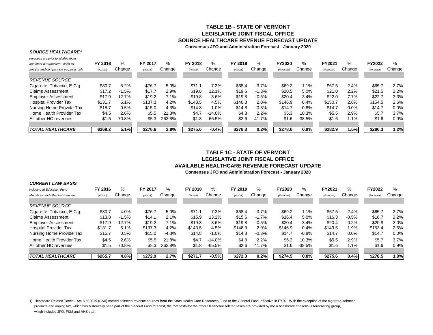## **TABLE 1B - STATE OF VERMONTLEGISLATIVE JOINT FISCAL OFFICESOURCE HEALTHCARE REVENUE FORECAST UPDATE**

**Consensus JFO and Administration Forecast - January 2020**

#### *SOURCE HEALTHCARE <sup>1</sup>*

| revenues are prior to all allocations  |          |         |          |         |          |               |          |         |            |          |            |         |            |         |
|----------------------------------------|----------|---------|----------|---------|----------|---------------|----------|---------|------------|----------|------------|---------|------------|---------|
| and other out-transfers: used for      | FY 2016  | %       | FY 2017  | %       | FY 2018  | $\frac{9}{6}$ | FY 2019  | %       | FY2020     | %        | FY2021     | $\%$    | FY2022     | %       |
| analytic and comparative purposes only | (Actual) | Change  | (Actual) | Change  | (Actual) | Change        | (Actual) | Change  | (Forecast) | Change   | (Forecast) | Change  | (Forecast) | Change  |
| <b>REVENUE SOURCE</b>                  |          |         |          |         |          |               |          |         |            |          |            |         |            |         |
| Cigarette, Tobacco, E-Cig              | \$80.7   | 5.2%    | \$76.7   | $-5.0%$ | \$71.1   | $-7.3%$       | \$68.4   | $-3.7%$ | \$69.2     | 1.1%     | \$67.5     | $-2.4%$ | \$65.7     | $-2.7%$ |
| Claims Assessment                      | \$17.2   | $-1.5%$ | \$17.7   | 2.9%    | \$19.8   | 12.1%         | \$19.6   | $-1.3%$ | \$20.5     | 5.0%     | \$21.0     | 2.2%    | \$21.5     | 2.2%    |
| <b>Employer Assessment</b>             | \$17.9   | 12.7%   | \$19.2   | 7.1%    | \$19.8   | 3.6%          | \$19.8   | $-0.5%$ | \$20.4     | 3.4%     | \$22.0     | 7.7%    | \$22.7     | 3.3%    |
| <b>Hospital Provider Tax</b>           | \$131.7  | $5.1\%$ | \$137.3  | 4.2%    | \$143.5  | 4.5%          | \$146.3  | 2.0%    | \$146.9    | 0.4%     | \$150.7    | 2.6%    | \$154.5    | 2.6%    |
| Nursing Home Provide Tax               | \$15.7   | $0.5\%$ | \$15.0   | $-4.3%$ | \$14.8   | $-1.0%$       | \$14.8   | $-0.3%$ | \$14.7     | $-0.8%$  | \$14.7     | 0.0%    | \$14.7     | 0.0%    |
| Home Health Provider Tax               | \$4.5    | 2.6%    | \$5.5    | 21.8%   | \$4.7    | $-14.0%$      | \$4.8    | 2.2%    | \$5.3      | 10.3%    | \$5.5      | 2.9%    | \$5.7      | 3.7%    |
| All other HC revenues                  | \$1.5    | 70.8%   | \$5.3    | 263.8%  | \$1.8    | $-65.5%$      | \$2.6    | 41.7%   | \$1.6      | $-38.5%$ | \$1.6      | $1.1\%$ | \$1.6      | 0.9%    |
| <b>TOTAL HEALTHCARE</b>                | \$269.2  | 5.1%    | \$276.6  | 2.8%    | \$275.6  | $-0.4%$       | \$276.3  | 0.2%    | \$278.6    | 0.9%     | \$282.9    | 1.5%    | \$286.3    | 1.2%    |

# **TABLE 1C - STATE OF VERMONTLEGISLATIVE JOINT FISCAL OFFICEAVAILABLE HEALTHCARE REVENUE FORECAST UPDATE**

**Consensus JFO and Administration Forecast - January 2020**

| <b>CURRENT LAW BASIS</b>            |          |         |          |         |          |           |          |         |               |          |            |         |            |         |
|-------------------------------------|----------|---------|----------|---------|----------|-----------|----------|---------|---------------|----------|------------|---------|------------|---------|
| including all Education Fund        | FY 2016  | %       | FY 2017  | %       | FY 2018  | $\%$      | FY 2019  | %       | <b>FY2020</b> | $\%$     | FY2021     | ℅       | FY2022     | ℅       |
| allocations and other out-transfers | (Actual) | Change  | (Actual) | Change  | (Actual) | Change    | (Actual) | Change  | (Forecast)    | Change   | (Forecast) | Change  | (Forecast) | Change  |
|                                     |          |         |          |         |          |           |          |         |               |          |            |         |            |         |
| <b>REVENUE SOURCE</b>               |          |         |          |         |          |           |          |         |               |          |            |         |            |         |
| Cigarette, Tobacco, E-Cig.          | \$80.7   | 4.0%    | \$76.7   | $-5.0%$ | \$71.1   | $-7.3%$   | \$68.4   | $-3.7%$ | \$69.2        | 1.1%     | \$67.5     | $-2.4%$ | \$65.7     | $-2.7%$ |
| Claims Assessment                   | \$13.8   | $-1.5%$ | \$14.1   | 2.1%    | \$15.9   | 13.2%     | \$15.6   | $-1.7%$ | \$16.4        | 5.0%     | \$16.3     | $-0.5%$ | \$16.7     | 2.2%    |
| <b>Employer Assessment</b>          | \$17.9   | 12.7%   | \$19.2   | 7.1%    | \$19.8   | 3.6%      | \$19.8   | $-0.5%$ | \$20.4        | 3.4%     | \$20.4     | $-0.2%$ | \$20.8     | 2.0%    |
| <b>Hospital Provider Tax</b>        | \$131.7  | 5.1%    | \$137.3  | 4.2%    | \$143.5  | 4.5%      | \$146.3  | 2.0%    | \$146.9       | 0.4%     | \$149.6    | 1.9%    | \$153.4    | 2.5%    |
| Nursing Home Provide Tax            | \$15.7   | 0.5%    | \$15.0   | $-4.3%$ | \$14.8   | $-1.0%$   | \$14.8   | $-0.3%$ | \$14.7        | $-0.8%$  | \$14.7     | $0.0\%$ | \$14.7     | $0.0\%$ |
| Home Health Provider Tax            | \$4.5    | 2.6%    | \$5.5    | 21.8%   | \$4.7    | $-14.0\%$ | \$4.8    | 2.2%    | \$5.3         | 10.3%    | \$5.5      | 2.9%    | \$5.7      | 3.7%    |
| All other HC revenues               | \$1.5    | 70.8%   | \$5.3    | 263.8%  | \$1.8    | -65.5%    | \$2.6    | 41.7%   | \$1.6         | $-38.5%$ | \$1.6      | 1.1%    | \$1.6      | 0.9%    |
|                                     |          |         |          |         |          |           |          |         |               |          |            |         |            |         |
| <i>TOTAL HEALTHCARE</i>             | \$265.7  | 4.8%    | \$272.9  | 2.7%    | \$271.7  | $-0.5%$   | \$272.3  | 0.2%    | \$274.5       | 0.8%     | \$275.6    | 0.4%    | \$278.5    | 1.0%    |

1) Heathcare Related Taxes - Act 6 of 2019 (BAA) moved selected revenue sources from the State Health Care Resources Fund to the General Fund, effective in FY20. With the exception of the cigarette, tobacco products and vaping tax, which has historically been part of the General Fund forecast, the forecasts for the other Healthcare related taxes are provided by the a healthcare consensus forecasting group, which includes JFO, F&M and AHS staff.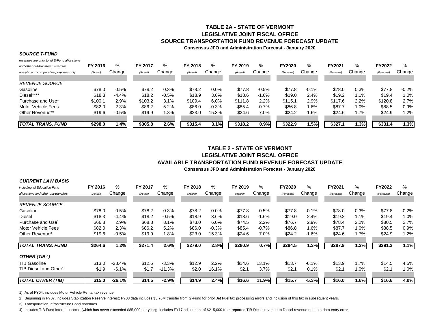# **TABLE 2A - STATE OF VERMONTLEGISLATIVE JOINT FISCAL OFFICESOURCE TRANSPORTATION FUND REVENUE FORECAST UPDATE**

#### **Consensus JFO and Administration Forecast - January 2020**

#### *SOURCE T-FUND*

*revenues are prior to all E-Fund allocations*

| and other out-transfers: used for      | FY 2016  | %       | FY 2017  | %       | FY 2018  | ℅       | FY 2019 | %       | <b>FY2020</b> | %       | FY2021     | %       | FY2022    | %       |
|----------------------------------------|----------|---------|----------|---------|----------|---------|---------|---------|---------------|---------|------------|---------|-----------|---------|
| analytic and comparative purposes only | (Actual) | Change  | (Actual) | Change  | (Actual) | Change  | (Actual | Change  | (Forecast)    | Change  | (Forecast) | Change  | (Forecast | Change  |
|                                        |          |         |          |         |          |         |         |         |               |         |            |         |           |         |
| <b>REVENUE SOURCE</b>                  |          |         |          |         |          |         |         |         |               |         |            |         |           |         |
| Gasoline                               | \$78.0   | 0.5%    | \$78.2   | 0.3%    | \$78.2   | 0.0%    | \$77.8  | $-0.5%$ | \$77.8        | $-0.1%$ | \$78.0     | 0.3%    | \$77.8    | $-0.2%$ |
| Diesel****                             | \$18.3   | $-4.4%$ | \$18.2   | $-0.5%$ | \$18.9   | 3.6%    | \$18.6  | $-1.6%$ | \$19.0        | 2.4%    | \$19.2     | $1.1\%$ | \$19.4    | 1.0%    |
| Purchase and Use*                      | \$100.1  | 2.9%    | \$103.2  | 3.1%    | \$109.4  | 6.0%    | \$111.8 | 2.2%    | \$115.1       | 2.9%    | \$117.6    | 2.2%    | \$120.8   | 2.7%    |
| Motor Vehicle Fees                     | \$82.0   | 2.3%    | \$86.2   | 5.2%    | \$86.0   | $-0.3%$ | \$85.4  | $-0.7%$ | \$86.8        | 1.6%    | \$87.7     | 1.0%    | \$88.5    | 0.9%    |
| Other Revenue**                        | \$19.6   | $-0.5%$ | \$19.9   | 1.8%    | \$23.0   | 15.3%   | \$24.6  | 7.0%    | \$24.2        | $-1.6%$ | \$24.6     | 1.7%    | \$24.9    | $1.2\%$ |
|                                        |          |         |          |         |          |         |         |         |               |         |            |         |           |         |
| TOTAL TRANS. FUND                      | \$298.0  | 1.4%    | \$305.8  | 2.6%    | \$315.4  | 3.1%    | \$318.2 | 0.9%    | \$322.9       | 1.5%    | \$327.1    | 1.3%    | \$331.4   | 1.3%    |

## **Consensus JFO and Administration Forecast - January 2020 TABLE 2 - STATE OF VERMONTLEGISLATIVE JOINT FISCAL OFFICEAVAILABLE TRANSPORTATION FUND REVENUE FORECAST UPDATE**

| <b>CURRENT LAW BASIS</b>            |          |          |          |          |          |         |          |         |               |         |            |         |            |         |
|-------------------------------------|----------|----------|----------|----------|----------|---------|----------|---------|---------------|---------|------------|---------|------------|---------|
| including all Education Fund        | FY 2016  | %        | FY 2017  | %        | FY 2018  | %       | FY 2019  | %       | <b>FY2020</b> | $\%$    | FY2021     | $\%$    | FY2022     | $\%$    |
| allocations and other out-transfers | (Actual) | Change   | (Actual) | Change   | (Actual) | Change  | (Actual) | Change  | (Forecast)    | Change  | (Forecast) | Change  | (Forecast) | Change  |
| <b>REVENUE SOURCE</b>               |          |          |          |          |          |         |          |         |               |         |            |         |            |         |
| Gasoline                            | \$78.0   | 0.5%     | \$78.2   | 0.3%     | \$78.2   | 0.0%    | \$77.8   | $-0.5%$ | \$77.8        | $-0.1%$ | \$78.0     | 0.3%    | \$77.8     | $-0.2%$ |
| <b>Diesel</b>                       | \$18.3   | -4.4%    | \$18.2   | $-0.5%$  | \$18.9   | 3.6%    | \$18.6   | $-1.6%$ | \$19.0        | 2.4%    | \$19.2     | $1.1\%$ | \$19.4     | 1.0%    |
| Purchase and Use <sup>1</sup>       | \$66.8   | 2.9%     | \$68.8   | 3.1%     | \$73.0   | 6.0%    | \$74.5   | 2.2%    | \$76.7        | 2.9%    | \$78.4     | $2.2\%$ | \$80.5     | 2.7%    |
| Motor Vehicle Fees                  | \$82.0   | 2.3%     | \$86.2   | 5.2%     | \$86.0   | $-0.3%$ | \$85.4   | $-0.7%$ | \$86.8        | 1.6%    | \$87.7     | 1.0%    | \$88.5     | 0.9%    |
| Other Revenue <sup>2</sup>          | \$19.6   | $-0.5%$  | \$19.9   | 1.8%     | \$23.0   | 15.3%   | \$24.6   | 7.0%    | \$24.2        | $-1.6%$ | \$24.6     | 1.7%    | \$24.9     | 1.2%    |
| TOTAL TRANS. FUND                   | \$264.6  | 1.2%     | \$271.4  | 2.6%     | \$279.0  | 2.8%    | \$280.9  | 0.7%    | \$284.5       | 1.3%    | \$287.9    | 1.2%    | \$291.2    | 1.1%    |
| OTHER (TIB <sup>3</sup> )           |          |          |          |          |          |         |          |         |               |         |            |         |            |         |
| <b>TIB Gasoline</b>                 | \$13.0   | -28.4%   | \$12.6   | $-3.3%$  | \$12.9   | 2.2%    | \$14.6   | 13.1%   | \$13.7        | $-6.1%$ | \$13.9     | $1.7\%$ | \$14.5     | 4.5%    |
| TIB Diesel and Other <sup>4</sup>   | \$1.9    | $-6.1%$  | \$1.7    | $-11.3%$ | \$2.0    | 16.1%   | \$2.1    | 3.7%    | \$2.1         | 0.1%    | \$2.1      | 1.0%    | \$2.1      | 1.0%    |
| TOTAL OTHER (TIB)                   | \$15.0   | $-26.1%$ | \$14.5   | $-2.9%$  | \$14.9   | 2.4%    | \$16.6   | 11.9%   | \$15.7        | $-5.3%$ | \$16.0     | 1.6%    | \$16.6     | 4.0%    |

1) As of FY04, includes Motor Vehicle Rental tax revenue.

2) Beginning in FY07, includes Stabilization Reserve interest; FY08 data includes \$3.76M transfer from G-Fund for prior Jet Fuel tax processing errors and inclusion of this tax in subsequent years.

3) Transportation Infrastructure Bond revenues

4) Includes TIB Fund interest income (which has never exceeded \$85,000 per year); Includes FY17 adjustment of \$215,000 from reported TIB Diesel revenue to Diesel revenue due to a data entry error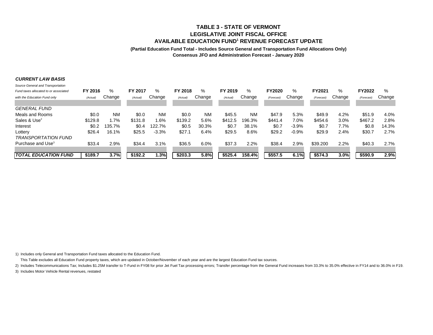## **TABLE 3 - STATE OF VERMONTLEGISLATIVE JOINT FISCAL OFFICEAVAILABLE EDUCATION FUND1 REVENUE FORECAST UPDATE**

#### **(Partial Education Fund Total - Includes Source General and Transportation Fund Allocations Only) Consensus JFO and Administration Forecast - January 2020**

#### *CURRENT LAW BASIS*

| Source General and Transportation     |          |           |          |           |          |           |          |           |               |         |            |         |               |        |
|---------------------------------------|----------|-----------|----------|-----------|----------|-----------|----------|-----------|---------------|---------|------------|---------|---------------|--------|
| Fund taxes allocated to or associated | FY 2016  | %         | FY 2017  | %         | FY 2018  | %         | FY 2019  | %         | <b>FY2020</b> | ℅       | FY2021     | $\%$    | <b>FY2022</b> | $\%$   |
| with the Education Fund only          | (Actual) | Change    | (Actual) | Change    | (Actual) | Change    | (Actual) | Change    | (Forecast)    | Change  | (Forecast) | Change  | (Forecast     | Change |
|                                       |          |           |          |           |          |           |          |           |               |         |            |         |               |        |
| <b>GENERAL FUND</b>                   |          |           |          |           |          |           |          |           |               |         |            |         |               |        |
| Meals and Rooms                       | \$0.0    | <b>NM</b> | \$0.0    | <b>NM</b> | \$0.0    | <b>NM</b> | \$45.5   | <b>NM</b> | \$47.9        | 5.3%    | \$49.9     | 4.2%    | \$51.9        | 4.0%   |
| Sales & Use <sup>2</sup>              | \$129.8  | 1.7%      | \$131.8  | 1.6%      | \$139.2  | 5.6%      | \$412.5  | 196.3%    | \$441.4       | 7.0%    | \$454.6    | $3.0\%$ | \$467.2       | 2.8%   |
| Interest                              | \$0.2    | 135.7%    | \$0.4    | 122.7%    | \$0.5    | 30.3%     | \$0.7    | 38.1%     | \$0.7         | $-3.9%$ | \$0.7      | 7.7%    | \$0.8         | 14.3%  |
| Lottery                               | \$26.4   | 16.1%     | \$25.5   | $-3.3%$   | \$27.1   | 6.4%      | \$29.5   | 8.6%      | \$29.2        | $-0.9%$ | \$29.9     | 2.4%    | \$30.7        | 2.7%   |
| <b>TRANSPORTATION FUND</b>            |          |           |          |           |          |           |          |           |               |         |            |         |               |        |
| Purchase and Use <sup>3</sup>         | \$33.4   | 2.9%      | \$34.4   | 3.1%      | \$36.5   | 6.0%      | \$37.3   | 2.2%      | \$38.4        | 2.9%    | \$39,200   | 2.2%    | \$40.3        | 2.7%   |
|                                       |          |           |          |           |          |           |          |           |               |         |            |         |               |        |
| <b>TOTAL EDUCATION FUND</b>           | \$189.7  | 3.7%      | \$192.2  | 1.3%      | \$203.3  | 5.8%      | \$525.4  | 158.4%    | \$557.5       | 6.1%    | \$574.3    | 3.0%    | \$590.9       | 2.9%   |

1) Includes only General and Transportation Fund taxes allocated to the Education Fund.

This Table excludes all Education Fund property taxes, which are updated in October/November of each year and are the largest Education Fund tax sources.

2) Includes Telecommunications Tax; Includes \$1.25M transfer to T-Fund in FY08 for prior Jet Fuel Tax processing errors; Transfer percentage from the General Fund increases from 33.3% to 35.0% effective in FY14 and to 36.0

3) Includes Motor Vehicle Rental revenues, restated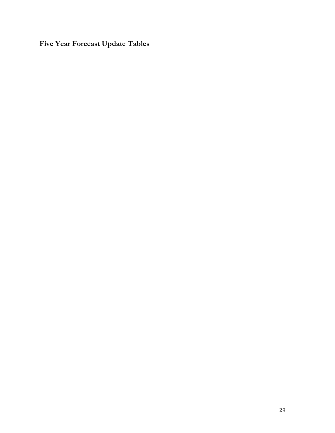**Five Year Forecast Update Tables**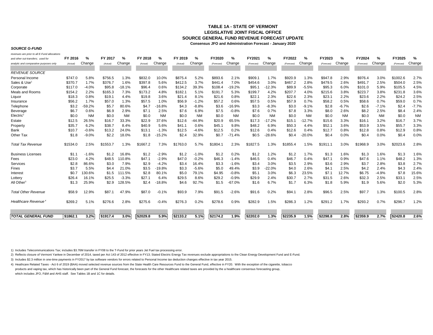## **TABLE 1A - STATE OF VERMONTLEGISLATIVE JOINT FISCAL OFFICESOURCE GENERAL FUND REVENUE FORECAST UPDATE**

**Consensus JFO and Administration Forecast - January 2020**

#### *SOURCE G-FUND*

| revenues are prior to all E-Fund allocations |          |           |          |           |          |           |          |           |            |           |            |           |            |           |            |           |            |           |            |           |
|----------------------------------------------|----------|-----------|----------|-----------|----------|-----------|----------|-----------|------------|-----------|------------|-----------|------------|-----------|------------|-----------|------------|-----------|------------|-----------|
| and other out-transfers: used for            | FY 2016  | %         | FY 2017  | %         | FY 2018  | %         | FY 2019  | %         | FY2020     | %         | FY2021     | %         | FY2022     | %         | FY2023     | %         | FY2024     | %         | FY2025     | $\%$      |
| analytic and comparative purposes only       | (Actual) | Change    | (Actual) | Change    | (Actual) | Change    | (Actual) | Change    | (Forecast) | Change    | (Forecast) | Change    | (Forecast) | Change    | (Forecast) | Change    | (Forecast) | Change    | (Forecast) | Change    |
|                                              |          |           |          |           |          |           |          |           |            |           |            |           |            |           |            |           |            |           |            |           |
| <b>REVENUE SOURCE</b>                        |          |           |          |           |          |           |          |           |            |           |            |           |            |           |            |           |            |           |            |           |
| Personal Income                              | \$747.0  | 5.8%      | \$756.5  | 1.3%      | \$832.0  | 10.0%     | \$875.4  | 5.2%      | \$893.6    | 2.1%      | \$909.1    | 1.7%      | \$920.9    | 1.3%      | \$947.8    | 2.9%      | \$976.4    | 3.0%      | \$1002.6   | 2.7%      |
| Sales & Use <sup>1</sup>                     | \$370.7  | 1.7%      | \$376.7  | 1.6%      | \$397.8  | 5.6%      | \$412.5  | 3.7%      | \$441.4    | 7.0%      | \$454.6    | 3.0%      | \$467.2    | 2.8%      | \$479.5    | 2.6%      | \$491.7    | 2.5%      | \$504.0    | 2.5%      |
| Corporate                                    | \$117.0  | $-4.0%$   | \$95.8   | $-18.1%$  | \$96.4   | 0.6%      | \$134.2  | 39.3%     | \$108.4    | $-19.2%$  | \$95.1     | 12.3%     | \$89.9     | $-5.5%$   | \$95.3     | 6.0%      | \$101.0    | 5.9%      | \$105.5    | 4.5%      |
| Meals and Rooms                              | \$154.2  | 2.2%      | \$165.3  | 7.3%      | \$173.2  | 4.8%      | \$182.1  | 5.1%      | \$191.7    | 5.3%      | \$199.7    | 4.2%      | \$207.7    | 4.0%      | \$215.6    | 3.8%      | \$223.7    | 3.8%      | \$231.8    | 3.6%      |
| Liquor                                       | \$18.3   | 0.8%      | \$19.1   | 4.4%      | \$19.8   | 3.6%      | \$21.4   | 8.1%      | \$21.6     | 0.8%      | \$22.7     | 2.3%      | \$22.6     | 2.3%      | \$23.7     | 2.2%      | \$23.6     | 2.2%      | \$24.2     | 2.5%      |
| Insurance                                    | \$56.2   | 1.7%      | \$57.0   | 1.3%      | \$57.5   | 1.0%      | \$56.9   | $-1.2%$   | \$57.2     | 0.6%      | \$57.5     | 0.5%      | \$57.9     | 0.7%      | \$58.2     | 0.5%      | \$58.6     | 0.7%      | \$59.0     | 0.7%      |
| Telephone                                    | \$3.2    | 59.2%     | \$5.7    | 80.6%     | \$4.7    | $-16.8%$  | \$4.3    | $-8.8%$   | \$3.6      | 16.9%     | \$3.3      | $-8.3%$   | \$3.0      | $-9.1%$   | \$2.8      | $-6.7%$   | \$2.6      | $-7.1%$   | \$2.4      | $-7.7%$   |
| Beverage                                     | \$6.7    | 0.6%      | \$6.9    | 2.9%      | \$7.1    | 2.5%      | \$7.6    | 6.9%      | \$7.5      | $-0.8%$   | \$7.6      | 0.7%      | \$7.8      | 3.3%      | \$8.0      | 2.6%      | \$8.2      | 2.5%      | \$8.4      | 2.4%      |
| Electric                                     | \$0.0    | <b>NM</b> | \$0.0    | <b>NM</b> | \$0.0    | <b>NM</b> | \$0.0    | <b>NM</b> | \$0.0      | <b>NM</b> | \$0.0      | <b>NM</b> | \$0.0      | <b>NM</b> | \$0.0      | <b>NM</b> | \$0.0      | <b>NM</b> | \$0.0      | <b>NM</b> |
| Estate                                       | \$12.5   | 26.5%     | \$16.7   | 33.3%     | \$22.9   | 37.6%     | \$12.6   | $-44.9%$  | \$20.9     | 65.5%     | \$17.3     | 17.2%     | \$15.1     | $-12.7%$  | \$15.6     | 3.3%      | \$16.1     | 3.2%      | \$16.7     | 3.7%      |
| Property                                     | \$35.7   | 6.2%      | \$38.7   | 8.4%      | \$40.9   | 5.6%      | \$41.1   | 0.6%      | \$45.1     | 9.8%      | \$48.2     | 6.9%      | \$50.3     | 4.4%      | \$52.1     | 3.6%      | \$53.9     | 3.5%      | \$55.7     | 3.3%      |
| Bank                                         | \$10.7   | $-0.6%$   | \$13.2   | 24.0%     | \$13.1   | $-1.3%$   | \$12.5   | $-4.6%$   | \$12.5     | 0.2%      | \$12.6     | 0.4%      | \$12.6     | 0.4%      | \$12.7     | 0.8%      | \$12.8     | 0.8%      | \$12.9     | 0.8%      |
| Other Tax                                    | \$1.8    | $-9.0%$   | \$2.2    | 18.0%     | \$1.8    | $-15.2%$  | \$2.4    | 32.9%     | \$0.7      | $-71.4%$  | \$0.5      | $-28.6%$  | \$0.4      | $-20.0%$  | \$0.4      | 0.0%      | \$0.4      | 0.0%      | \$0.4      | 0.0%      |
| <b>Total Tax Revenue</b>                     | \$1534.0 | 2.5%      | \$1553.7 | 1.3%      | \$1667.2 | 7.3%      | \$1763.0 | 5.7%      | \$1804.7   | 2.3%      | \$1827.5   | 1.3%      | \$1855.4   | 1.5%      | \$1911.1   | 3.0%      | \$1968.9   | 3.0%      | \$2023.6   | 2.8%      |
| <b>Business Licenses</b>                     | \$1.1    | $-1.6%$   | \$1.2    | 16.8%     | \$1.2    | $-2.9%$   | \$1.2    | $-1.0%$   | \$1.2      | 0.2%      | \$1.2      | 1.2%      | \$1.2      | 1.7%      | \$1.3      | 1.6%      | \$1.3      | 1.6%      | \$1.3      | 1.6%      |
| Fees                                         | \$23.0   | 4.2%      | \$48.5   | 10.8%     | \$47.1   | $-2.9%$   | \$47.0   | $-0.2%$   | \$46.3     | $-1.4%$   | \$46.5     | 0.4%      | \$46.7     | 0.4%      | \$47.1     | 0.9%      | \$47.6     | 1.1%      | \$48.2     | 1.3%      |
| Services                                     | \$2.8    | 86.6%     | \$3.0    | 7.9%      | \$2.9    | $-4.2%$   | \$3.4    | 16.4%     | \$3.3      | $-1.6%$   | \$3.4      | 3.0%      | \$3.5      | 2.9%      | \$3.6      | 2.9%      | \$3.7      | 2.8%      | \$3.8      | 2.7%      |
| Fines                                        | \$3.7    | 5.5%      | \$4.4    | 21.0%     | \$3.5    | $-19.8%$  | \$3.3    | $-5.6%$   | \$5.0      | 49.4%     | \$3.9      | 22.0%     | \$4.0      | 2.6%      | \$4.       | 2.5%      | \$4.2      | 2.4%      | \$4.3      | 2.4%      |
| Interest                                     | \$0.7    | 30.6%     | \$1.5    | 111.5%    | \$2.8    | 80.1%     | \$5.0    | 79.1%     | \$4.95     | $-0.8%$   | \$5.1      | 3.0%      | \$6.3      | 23.5%     | \$7.       | 12.7%     | \$6.75     | $-4.9%$   | \$7.8      | 15.6%     |
| Lottery                                      | \$26.4   | 16.1%     | \$25.5   | $-3.3%$   | \$27.7   | 6.4%      | \$29.5   | 8.6%      | \$29.2     | $-0.9%$   | \$29.9     | 2.4%      | \$30.7     | 2.7%      | \$31.5     | 2.6%      | \$32.3     | 2.5%      | \$33.7     | 2.5%      |
| All Other <sup>3</sup>                       | \$1.3    | 25.9%     | \$2.9    | 128.5%    | \$2.4    | $-18.8%$  | \$4.6    | 92.7%     | \$1.5      | $-67.0%$  | \$1.6      | 6.7%      | \$1.7      | 6.3%      | \$1.8      | 5.9%      | \$1.9      | 5.6%      | \$2.0      | 5.3%      |
| <b>Total Other Revenue</b>                   | \$58.9   | 12.9%     | \$87.1   | 47.9%     | \$87.0   | $-0.1%$   | \$93.9   | 7.9%      | \$91.5     | $-2.6%$   | \$91.6     | 0.2%      | \$94.1     | 2.8%      | \$96.5     | 2.5%      | \$97.7     | 1.3%      | \$100.5    | 2.8%      |
| Healthcare Revenue <sup>®</sup>              | \$269.2  | 5.1%      | \$276.6  | 2.8%      | \$275.6  | $-0.4%$   | \$276.3  | 0.2%      | \$278.6    | 0.9%      | \$282.9    | 1.5%      | \$286.3    | 1.2%      | \$291.2    | 1.7%      | \$293.2    | 0.7%      | \$296.7    | 1.2%      |
|                                              |          |           |          |           |          |           |          |           |            |           |            |           |            |           |            |           |            |           |            |           |
| <b>TOTAL GENERAL FUND</b>                    | \$1862.1 | 3.2%      | \$1917.4 | 3.0%      | \$2029.8 | 5.9%      | \$2133.2 | 5.1%      | \$2174.2   | 1.9%      | \$2202.0   | 1.3%      | \$2235.9   | 1.5%      | \$2298.8   | 2.8%      | \$2359.9   | 2.7%      | \$2420.8   | 2.6%      |

1) Includes Telecommunications Tax; includes \$3.76M transfer in FY08 to the T-Fund for prior years Jet Fuel tax processing error.

2) Reflects closure of Vermont Yankee in December of 2014, taxed per Act 143 of 2012 effective in FY13; Stated Electric Energy Tax revenues exclude appropriations to the Clean Energy Development Fund and E-Fund.

3) Includes \$2.3 million in one-time payments in FY2017 by tax software vendors for errors related to Personal Income tax deduction changes effective in tax year 2015.

4) Heathcare Related Taxes - Act 6 of 2019 (BAA) moved selected revenue sources from the State Health Care Resources Fund to the General Fund, effective in FY20. With the exception of the cigarette, tobacco products and vaping tax, which has historically been part of the General Fund forecast, the forecasts for the other Healthcare related taxes are provided by the a healthcare consensus forecasting group, which includes JFO, F&M and AHS staff. See Tables 1B and 1C for details.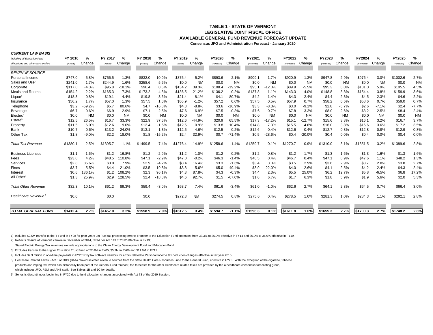## **LEGISLATIVE JOINT FISCAL OFFICEAVAILABLE GENERAL FUND REVENUE FORECAST UPDATETABLE 1 - STATE OF VERMONT**

**Consensus JFO and Administration Forecast - January 2020**

| including all Education Fund        | FY 2016  | ℅         | FY 2017  | %         | FY 2018  | %         | FY 2019  | %         | FY2020     | %         | FY2021     | ℅         | FY2022     | %         | FY2023     | %         | FY2024     | %         | FY2025     | %         |
|-------------------------------------|----------|-----------|----------|-----------|----------|-----------|----------|-----------|------------|-----------|------------|-----------|------------|-----------|------------|-----------|------------|-----------|------------|-----------|
| allocations and other out-transfers | (Actual) | Change    | (Actual) | Change    | (Actual) | Change    | (Actual) | Change    | (Forecast) | Change    | (Forecast) | Change    | (Forecast) | Change    | (Forecast) | Change    | (Forecast) | Change    | (Forecast) | Change    |
| <b>REVENUE SOURCE</b>               |          |           |          |           |          |           |          |           |            |           |            |           |            |           |            |           |            |           |            |           |
| Personal Income                     | \$747.0  | 5.8%      | \$756.5  | 1.3%      | \$832.0  | 10.0%     | \$875.4  | 5.2%      | \$893.6    | 2.1%      | \$909.1    | 1.7%      | \$920.9    | 1.3%      | \$947.8    | 2.9%      | \$976.4    | 3.0%      | \$1002.6   | 2.7%      |
| Sales and Use                       | \$241.0  | 1.7%      | \$244.9  | 1.6%      | \$258.6  | 5.6%      | \$0.0    | <b>NM</b> | \$0.0      | <b>NM</b> | \$0.0      | <b>NM</b> | \$0.0      | <b>NM</b> | \$0.0      | <b>NM</b> | \$0.0      | <b>NM</b> | \$0.0      | ΝM        |
| Corporate                           | \$117.0  | $-4.0%$   | \$95.8   | $-18.1%$  | \$96.4   | 0.6%      | \$134.2  | 39.3%     | \$108.4    | $-19.2%$  | \$95.1     | $-12.3%$  | \$89.9     | $-5.5%$   | \$95.3     | 6.0%      | \$101.0    | 5.9%      | \$105.5    | 4.5%      |
| Meals and Rooms                     | \$154.2  | 2.2%      | \$165.3  | 7.3%      | \$173.2  | 4.8%      | \$136.5  | $-21.2%$  | \$136.2    | $-0.2%$   | \$137.8    | 1.1%      | \$143.3    | 4.0%      | \$148.8    | 3.8%      | \$154.4    | 3.8%      | \$159.9    | 3.6%      |
| Liquor <sup>6</sup>                 | \$18.3   | 0.8%      | \$19.1   | 4.4%      | \$19.8   | 3.6%      | \$21.4   | 8.1%      | \$4.       | $-80.7%$  | \$4.2      | 1.4%      | \$4.3      | 2.4%      | \$4.4      | 2.3%      | \$4.5      | 2.3%      | \$4.6      | 2.2%      |
| Insurance                           | \$56.2   | 1.7%      | \$57.0   | 1.3%      | \$57.5   | 1.0%      | \$56.9   | $-1.2%$   | \$57.2     | 0.6%      | \$57.5     | 0.5%      | \$57.9     | 0.7%      | \$58.2     | 0.5%      | \$58.6     | 0.7%      | \$59.0     | 0.7%      |
| Telephone                           | \$3.2    | 59.2%     | \$5.7    | 80.6%     | \$4.7    | $-16.8%$  | \$4.3    | $-8.8%$   | \$3.6      | $-16.9%$  | \$3.3      | $-8.3%$   | \$3.0      | $-9.1%$   | \$2.8      | $-6.7%$   | \$2.6      | $-7.1%$   | \$2.4      | $-7.7%$   |
| Beverage                            | \$6.7    | 0.6%      | \$6.9    | 2.9%      | \$7.1    | 2.5%      | \$7.6    | 6.9%      | \$7.5      | $-0.8%$   | \$7.6      | 0.7%      | \$7.8      | 3.3%      | \$8.0      | 2.6%      | \$8.2      | 2.5%      | \$8.4      | 2.4%      |
| Electric                            | \$0.0    | <b>NM</b> | \$0.0    | <b>NM</b> | \$0.0    | <b>NM</b> | \$0.0    | <b>NM</b> | \$0.0      | <b>NM</b> | \$0.0      | <b>NM</b> | \$0.0      | <b>NM</b> | \$0.0      | <b>NM</b> | \$0.0      | <b>NM</b> | \$0.0      | <b>NM</b> |
| Estate <sup>3</sup>                 | \$12.5   | 26.5%     | \$16.7   | 33.3%     | \$22.9   | 37.6%     | \$12.6   | $-44.9%$  | \$20.9     | 65.5%     | \$17.3     | $-17.2%$  | \$15.1     | $-12.7%$  | \$15.6     | 3.3%      | \$16.1     | 3.2%      | \$16.7     | 3.7%      |
| Property                            | \$11.5   | 6.0%      | \$12.6   | 9.0%      | \$12.4   | $-1.5%$   | \$12.5   | 0.9%      | \$13.8     | 10.4%     | \$14.8     | 7.3%      | \$15.5     | 4.6%      | \$16.0     | 3.8%      | \$16.6     | 3.6%      | \$17.2     | 3.5%      |
| Bank                                | \$10.7   | $-0.6%$   | \$13.2   | 24.0%     | \$13.1   | $-1.3%$   | \$12.5   | $-4.6%$   | \$12.5     | 0.2%      | \$12.6     | 0.4%      | \$12.6     | 0.4%      | \$12.7     | 0.8%      | \$12.8     | 0.8%      | \$12.9     | 0.8%      |
| Other Tax                           | \$1.8    | $-9.0%$   | \$2.2    | 18.0%     | \$1.8    | $-15.2%$  | \$2.4    | 32.9%     | \$0.7      | $-71.4%$  | \$0.5      | $-28.6%$  | \$0.4      | $-20.0%$  | \$0.4      | 0.0%      | \$0.4      | 0.0%      | \$0.4      | 0.0%      |
| <b>Total Tax Revenue</b>            | \$1380.1 | 2.5%      | \$1395.7 | 1.1%      | \$1499.5 | 7.4%      | \$1276.4 | $-14.9%$  | \$1258.6   | $-1.4%$   | \$1259.7   | 0.1%      | \$1270.7   | 0.9%      | \$1310.0   | 3.1%      | \$1351.5   | 3.2%      | \$1389.6   | 2.8%      |
| <b>Business Licenses</b>            | \$1.1    | $-1.6%$   | \$1.2    | 16.8%     | \$1.2    | $-2.9%$   | \$1.2    | $-1.0%$   | \$1.2      | 0.2%      | \$1.2      | 0.8%      | \$1.2      | 1.7%      | \$1.3      | 1.6%      | \$1.3      | 1.6%      | \$1.3      | 1.6%      |
| Fees                                | \$23.0   | 4.2%      | \$48.5   | 110.8%    | \$47.1   | $-2.9%$   | \$47.0   | $-0.2%$   | \$46.3     | $-1.4%$   | \$46.5     | 0.4%      | \$46.7     | 0.4%      | \$47.1     | 0.9%      | \$47.6     | 1.1%      | \$48.2     | 1.3%      |
| Services                            | \$2.8    | 86.6%     | \$3.0    | 7.9%      | \$2.9    | $-4.2%$   | \$3.4    | 16.4%     | \$3.3      | $-1.6%$   | \$3.4      | 3.0%      | \$3.5      | 2.9%      | \$3.6      | 2.9%      | \$3.7      | 2.8%      | \$3.8      | 2.7%      |
| Fines                               | \$3.7    | 5.5%      | \$4.4    | 21.0%     | \$3.5    | $-19.8%$  | \$3.3    | $-5.6%$   | \$5.0      | 49.4%     | \$3.9      | 22.0%     | \$4.0      | 2.6%      | \$4.1      | 2.5%      | \$4.2      | 2.4%      | \$4.3      | 2.4%      |
| Interest                            | \$0.6    | 136.1%    | \$1.2    | 108.2%    | \$2.3    | 96.1%     | \$4.3    | 87.8%     | \$4.3      | $-0.3%$   | \$4.4      | 2.3%      | \$5.5      | 25.0%     | \$6.2      | 12.7%     | \$5.8      | $-6.5%$   | \$6.8      | 17.2%     |
| All Other <sup>4</sup>              | \$1.3    | 25.9%     | \$2.9    | 128.5%    | \$2.4    | $-18.8%$  | \$4.6    | 92.7%     | \$1.5      | $-67.0%$  | \$1.6      | 6.7%      | \$1.7      | 6.3%      | \$1.8      | 5.9%      | \$1.9      | 5.6%      | \$2.0      | 5.3%      |
| <b>Total Other Revenue</b>          | \$32.3   | 10.1%     | \$61.2   | 89.3%     | \$59.4   | $-3.0%$   | \$63.7   | 7.4%      | \$61.6     | $-3.4%$   | \$61.0     | $-1.0%$   | \$62.6     | 2.7%      | \$64.1     | 2.3%      | \$64.5     | 0.7%      | \$66.4     | 3.0%      |
| Healthcare Revenue <sup>5</sup>     | \$0.0    |           | \$0.0    |           | \$0.0    |           | \$272.3  | <b>NM</b> | \$274.5    | 0.8%      | \$275.6    | 0.4%      | \$278.5    | 1.0%      | \$281.3    | 1.0%      | \$284.3    | 1.1%      | \$292.1    | 2.8%      |
|                                     |          |           |          |           |          |           |          |           |            |           |            |           |            |           |            |           |            |           |            |           |
| <b>TOTAL GENERAL FUND</b>           | \$1412.4 | 2.7%      | \$1457.0 | 3.2%      | \$1558.9 | 7.0%      | \$1612.5 | 3.4%      | \$1594.7   | $-1.1%$   | \$1596.3   | 0.1%      | \$1611.8   | 1.0%      | \$1655.3   | 2.7%      | \$1700.3   | 2.7%      | \$1748.2   | 2.8%      |

1) Includes \$2.5M transfer to the T-Fund in FY08 for prior years Jet Fuel tax processing errors; Transfer to the Education Fund increases from 33.3% to 35.0% effective in FY14 and 35.0% to 36.0% effective in FY19.

2) Reflects closure of Vermont Yankee in December of 2014, taxed per Act 143 of 2012 effective in FY13;

*CURRENT LAW BASIS*

Stated Electric Energy Tax revenues exclude appropriations to the Clean Energy Development Fund and Education Fund.

3) Excludes transfer to the Higher Education Trust Fund of \$2.4M in FY05, \$5.2M in FY06 and \$11.0M in FY11.

4) Includes \$2.3 million in one-time payments in FY2017 by tax software vendors for errors related to Personal Income tax deduction changes effective in tax year 2015.

5) Heathcare Related Taxes - Act 6 of 2019 (BAA) moved selected revenue sources from the State Health Care Resources Fund to the General Fund, effective in FY20. With the exception of the cigarette, tobacco products and vaping tax, which has historically been part of the General Fund forecast, the forecasts for the other Healthcare related taxes are provided by the a healthcare consensus forecasting group, which includes JFO, F&M and AHS staff. See Tables 1B and 1C for details.

6) Series is discontinuous beginning in FY20 due to fund allocation changes associated with Act 73 of the 2019 Session.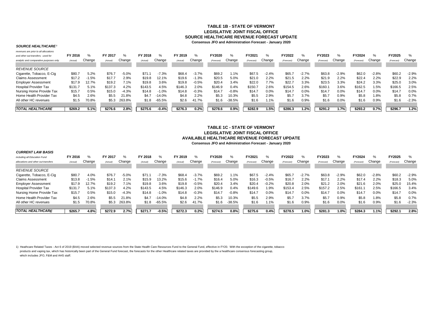#### **TABLE 1B - STATE OF VERMONTLEGISLATIVE JOINT FISCAL OFFICE SOURCE HEALTHCARE REVENUE FORECAST UPDATEConsensus JFO and Administration Forecast - January 2020**

#### *SOURCE HEALTHCARE1*

*CURRENT LAW BASIS*

| revenues are prior to all allocations  |          |         |          |         |          |           |          |         |            |          |            |               |            |         |               |         |            |         |            |         |
|----------------------------------------|----------|---------|----------|---------|----------|-----------|----------|---------|------------|----------|------------|---------------|------------|---------|---------------|---------|------------|---------|------------|---------|
| and other out-transfers: used for      | FY 2016  |         | FY 2017  | $\%$    | FY 2018  | %         | FY 2019  | ℀       | FY2020     | %        | FY2021     | $\frac{1}{2}$ | FY2022     | ℅       | <b>FY2023</b> | %       | FY2024     | ℅       | FY2025     |         |
| analytic and comparative purposes only | (Actual) | Change  | (Actual) | Change  | (Actual) | Change    | (Actual) | Change  | (Forecast) | Change   | (Forecast) | Change        | (Forecast) | Change  | (Forecast)    | Change  | (Forecast) | Change  | (Forecast) | Change  |
| <b>REVENUE SOURCE</b>                  |          |         |          |         |          |           |          |         |            |          |            |               |            |         |               |         |            |         |            |         |
| Cigarette, Tobacco, E-Cig              | \$80.7   | 5.2%    | \$76.7   | $-5.0%$ | \$71.1   | $-7.3%$   | \$68.4   | $-3.7%$ | \$69.2     | 1.1%     | \$67.5     | $-2.4%$       | \$65.      | $-2.7%$ | \$63.8        | $-2.9%$ | \$62.0     | $-2.8%$ | \$60.2     | $-2.9%$ |
| <b>Claims Assessment</b>               | \$17.2   | $-1.5%$ | \$17.7   | 2.9%    | \$19.8   | 12.1%     | \$19.6   | $-1.3%$ | \$20.5     | 5.0%     | \$21.0     | 2.2%          | \$21.5     | 2.2%    | \$21.9        | 2.2%    | \$22.4     | 2.2%    | \$22.9     | 2.2%    |
| <b>Employer Assessment</b>             | \$17.9   | 12.7%   | \$19.2   | 7.1%    | \$19.8   | 3.6%      | \$19.8   | $-0.5%$ | \$20.4     | 3.4%     | \$22.0     | 7.7%          | \$22.7     | 3.3%    | \$23.5        | 3.3%    | \$24.2     | 3.3%    | \$25.0     | 3.0%    |
| <b>Hospital Provider Tax</b>           | \$131.7  | 5.1%    | \$137.3  | 4.2%    | \$143.5  | 4.5%      | \$146.3  | 2.0%    | \$146.9    | 0.4%     | \$150.7    | 2.6%          | \$154.5    | 2.6%    | \$160.        | 3.6%    | \$162.5    | .5%     | \$166.5    | 2.5%    |
| Nursing Home Provide Tax               | \$15.7   | 0.5%    | \$15.0   | $-4.3%$ | \$14.8   | $-1.0%$   | \$14.8   | $-0.3%$ | \$14.7     | $-0.8%$  | \$14.7     | 0.0%          | \$14.7     | 0.0%    | \$14.7        | 0.0%    | \$14.7     | 0.0%    | \$14.7     | 0.0%    |
| Home Health Provider Tax               | \$4.5    | 2.6%    | \$5.5    | 21.8%   | \$4.7    | $-14.0\%$ | \$4.8    | 2.2%    | \$5.3      | 10.3%    | \$5.5      | 2.9%          | \$5.7      | 3.7%    | \$5.7         | 0.9%    | \$5.8      | .8%     | \$5.8      | 0.7%    |
| All other HC revenues                  | \$1.5    | 70.8%   | \$5.3    | 263.8%  | \$1.8    | $-65.5%$  | \$2.6    | 41.7%   | \$1.6      | $-38.5%$ | \$1.6      | .1%           | \$1.6      | 0.9%    | \$1.6         | 0.0%    | \$1.6      | 0.9%    | \$1.6      | $-2.3%$ |
|                                        |          |         |          |         |          |           |          |         |            |          |            |               |            |         |               |         |            |         |            |         |
| <b>TOTAL HEALTHCARE</b>                | \$269.2  | 5.1%    | \$276.6  | 2.8%    | \$275.6  | $-0.4%$   | \$276.3  | 0.2%    | \$278.6    | 0.9%     | \$282.9    | .5%           | \$286.3    | 1.2%    | \$291.2       | 1.7%    | \$293.2    | 0.7%    | \$296.7    | 1.2%    |

#### **Consensus JFO and Administration Forecast - January 2020 TABLE 1C - STATE OF VERMONT LEGISLATIVE JOINT FISCAL OFFICEAVAILABLE HEALTHCARE REVENUE FORECAST UPDATE**

| UURRENI LAW DASIS                   |          |         |          |         |          |          |          |         |            |          |            |         |            |         |            |         |            |         |            |         |
|-------------------------------------|----------|---------|----------|---------|----------|----------|----------|---------|------------|----------|------------|---------|------------|---------|------------|---------|------------|---------|------------|---------|
| including all Education Fund        | FY 2016  | %       | FY 2017  | $\%$    | FY 2018  | %        | FY 2019  |         | FY2020     | %        | FY2021     | %       | FY2022     | ℅       | FY2023     | %       | FY2024     | %       | FY2025     | ℅       |
| allocations and other out-transfers | (Actual) | Change  | (Actual) | Change  | (Actual) | Change   | (Actual) | Change  | (Forecast) | Change   | (Forecast) | Change  | (Forecast) | Change  | (Forecast) | Change  | (Forecast) | Change  | (Forecast) | Change  |
| <b>REVENUE SOURCE</b>               |          |         |          |         |          |          |          |         |            |          |            |         |            |         |            |         |            |         |            |         |
| Cigarette, Tobacco, E-Cig           | \$80.7   | 4.0%    | \$76.7   | $-5.0%$ | \$71.1   | $-7.3%$  | \$68.4   | $-3.7%$ | \$69.2     | 1.1%     | \$67.5     | $-2.4%$ | \$65.7     | $-2.7%$ | \$63.8     | $-2.9%$ | \$62.0     | $-2.8%$ | \$60.2     | $-2.9%$ |
| <b>Claims Assessment</b>            | \$13.8   | $-1.5%$ | \$14.7   | 2.1%    | \$15.9   | 13.2%    | \$15.6   | $-1.7%$ | \$16.4     | 5.0%     | \$16.3     | $-0.5%$ | \$16.7     | 2.2%    | \$17.1     | 2.2%    | \$17.4     | 2.2%    | \$18.3     | 5.0%    |
| <b>Employer Assessment</b>          | \$17.9   | 12.7%   | \$19.2   | 7.1%    | \$19.8   | 3.6%     | \$19.8   | $-0.5%$ | \$20.4     | 3.4%     | \$20.4     | $-0.2%$ | \$20.8     | 2.0%    | \$21.2     | 2.0%    | \$21.6     | 2.0%    | \$25.0     | 15.4%   |
| <b>Hospital Provider Tax</b>        | \$131.7  | 5.1%    | \$137.3  | 4.2%    | \$143.5  | 4.5%     | \$146.3  | 2.0%    | \$146.9    | 0.4%     | \$149.6    | 1.9%    | \$153.4    | 2.5%    | \$157.2    | 2.5%    | \$161.1    | 2.5%    | \$166.5    | 3.4%    |
| Nursing Home Provide Tax            | \$15.7   | 0.5%    | \$15.0   | $-4.3%$ | \$14.8   | $-1.0%$  | \$14.8   | $-0.3%$ | \$14.7     | $-0.8%$  | \$14.7     | $0.0\%$ | \$14.7     | 0.0%    | \$14.7     | 0.0%    | \$14.7     | 0.0%    | \$14.7     | 0.0%    |
| Home Health Provider Tax            | \$4.5    | 2.6%    | \$5.5    | 21.8%   | \$4.7    | $-14.0%$ | \$4.8    | 2.2%    | \$5.3      | 10.3%    | \$5.5      | 2.9%    | \$5.7      | 3.7%    | \$5.7      | 0.9%    | \$5.8      | 1.8%    | \$5.8      | 0.7%    |
| All other HC revenues               | \$1.5    | 70.8%   | \$5.3    | 263.8%  | \$1.8    | $-65.5%$ | \$2.6    | 41.7%   | \$1.6      | $-38.5%$ | \$1.6      | 1.1%    | \$1.6      | 0.9%    | \$1.6      | 0.0%    | \$1.6      | 0.9%    | \$1.6      | $-2.3%$ |
|                                     |          |         |          |         |          |          |          |         |            |          |            |         |            |         |            |         |            |         |            |         |
| <b>TOTAL HEALTHCARE</b>             | \$265.7  | 4.8%    | \$272.9  | 2.7%    | \$271.7  | $-0.5%$  | \$272.3  | 0.2%    | \$274.5    | 0.8%     | \$275.6    | 0.4%    | \$278.5    | $.0\%$  | \$281.3    | 1.0%    | \$284.3    | 1.1%    | \$292.1    | 2.8%    |

1) Heathcare Related Taxes - Act 6 of 2019 (BAA) moved selected revenue sources from the State Health Care Resources Fund to the General Fund, effective in FY20. With the exception of the cigarette, tobacco products and vaping tax, which has historically been part of the General Fund forecast, the forecasts for the other Healthcare related taxes are provided by the a healthcare consensus forecasting group, which includes JFO, F&M and AHS staff.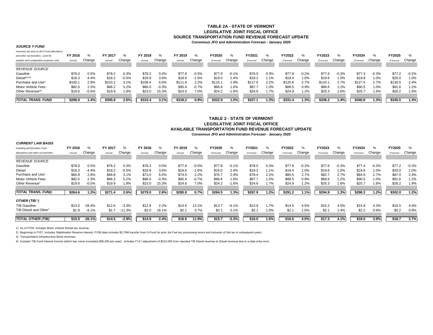#### **TABLE 2A - STATE OF VERMONTLEGISLATIVE JOINT FISCAL OFFICE SOURCE TRANSPORTATION FUND REVENUE FORECAST UPDATEConsensus JFO and Administration Forecast - January 2020**

#### *SOURCE T-FUND*

*revenues are prior to all E-Fund allocations*

| revenues are prior to all E-rund allocations |          |         |          |         |          |         |          |         |            |         |            |         |            |         |            |         |            |         |            |         |
|----------------------------------------------|----------|---------|----------|---------|----------|---------|----------|---------|------------|---------|------------|---------|------------|---------|------------|---------|------------|---------|------------|---------|
| and other out-transfers: used for            | FY 2016  | %       | FY 2017  | %       | FY 2018  | %       | FY 2019  | %       | FY2020     | %       | FY2021     | %       | FY2022     | ℅       | FY2023     | %       | FY2024     | $\%$    | FY2025     |         |
| analytic and comparative purposes only       | (Actual) | Change  | (Actual) | Change  | (Actual) | Change  | (Actual) | Change  | (Forecast) | Change  | (Forecast) | Change  | (Forecast) | Change  | (Forecast) | Change  | (Forecast) | Change  | (Forecast) | Change  |
|                                              |          |         |          |         |          |         |          |         |            |         |            |         |            |         |            |         |            |         |            |         |
| <b>REVENUE SOURCE</b>                        |          |         |          |         |          |         |          |         |            |         |            |         |            |         |            |         |            |         |            |         |
| Gasoline                                     | \$78.0   | 0.5%    | \$78.2   | 0.3%    | \$78.2   | $0.0\%$ | \$77.8   | $-0.5%$ | \$77.8     | $-0.1%$ | \$78.0     | 0.3%    | \$77.8     | $-0.2%$ | \$77.6     | $-0.3%$ | \$77.4     | $-0.3%$ | \$77.2     | $-0.2%$ |
| Diesel****                                   | \$18.3   | $-4.4%$ | \$18.2   | $-0.5%$ | \$18.9   | 3.6%    | \$18.6   | $-1.6%$ | \$19.0     | 2.4%    | \$19.2     | 1.1%    | \$19.4     | 1.0%    | \$19.6     | 1.0%    | \$19.8     | .0%     | \$20.0     | 1.0%    |
| Purchase and Use*                            | \$100.   | 2.9%    | \$103.2  | 3.1%    | \$109.4  | 6.0%    | \$111.8  | 2.2%    | \$115.1    | 2.9%    | \$117.6    | 2.2%    | \$120.8    | 2.7%    | \$124.1    | 2.7%    | \$127.4    | 2.7%    | \$130.5    | 2.4%    |
| Motor Vehicle Fees                           | \$82.0   | 2.3%    | \$86.2   | 5.2%    | \$86.0   | $-0.3%$ | \$85.4   | $-0.7%$ | \$86.8     | 1.6%    | \$87.7     | $1.0\%$ | \$88.5     | 0.9%    | \$89.6     | 1.2%    | \$90.5     | $1.0\%$ | \$91.6     | 1.2%    |
| Other Revenue**                              | \$19.6   | $-0.5%$ | \$19.9   | 1.8%    | \$23.0   | 15.3%   | \$24.6   | 7.0%    | \$24.2     | $-1.6%$ | \$24.6     | .7%     | \$24.9     | 1.2%    | \$25.3     | 1.6%    | \$25.7     | .6%     | \$26.2     | 1.9%    |
|                                              |          |         |          |         |          |         |          |         |            |         |            |         |            |         |            |         |            |         |            |         |
| TOTAL TRANS. FUND                            | \$298.0  | 1.4%    | \$305.8  | 2.6%    | \$315.4  | 3.1%    | \$318.2  | 0.9%    | \$322.9    | 1.5%    | \$327.1    | .3%     | \$331.4    | .3%     | \$336.2    | 1.4%    | \$340.8    | .3%     | \$345.5    | 1.4%    |

#### **Consensus JFO and Administration Forecast - January 2020 TABLE 2 - STATE OF VERMONTLEGISLATIVE JOINT FISCAL OFFICEAVAILABLE TRANSPORTATION FUND REVENUE FORECAST UPDATE**

| <b>CURRENT LAW BASIS</b>            |          |          |          |          |          |         |          |         |            |         |            |        |            |         |            |         |            |         |            |         |
|-------------------------------------|----------|----------|----------|----------|----------|---------|----------|---------|------------|---------|------------|--------|------------|---------|------------|---------|------------|---------|------------|---------|
| including all Education Fund        | FY 2016  | %        | FY 2017  | $\%$     | FY 2018  | %       | FY 2019  | %       | FY2020     | ℅       | FY2021     | %      | FY2022     | $\%$    | FY2023     | %       | FY2024     | %       | FY2025     | $\%$    |
| allocations and other out-transfers | (Actual) | Change   | (Actual) | Change   | (Actual) | Change  | (Actual) | Change  | (Forecast) | Change  | (Forecast) | Change | (Forecast) | Change  | (Forecast) | Change  | (Forecast) | Change  | (Forecast) | Change  |
| <b>REVENUE SOURCE</b>               |          |          |          |          |          |         |          |         |            |         |            |        |            |         |            |         |            |         |            |         |
| Gasoline                            | \$78.0   | 0.5%     | \$78.2   | 0.3%     | \$78.2   | 0.0%    | \$77.8   | $-0.5%$ | \$77.8     | $-0.1%$ | \$78.0     | 0.3%   | \$77.8     | $-0.2%$ | \$77.6     | $-0.3%$ | \$77.4     | $-0.3%$ | \$77.2     | $-0.2%$ |
| Diesel                              | \$18.3   | $-4.4%$  | \$18.2   | $-0.5%$  | \$18.9   | 3.6%    | \$18.6   | $-1.6%$ | \$19.0     | 2.4%    | \$19.2     | 1.1%   | \$19.4     | 1.0%    | \$19.6     | 1.0%    | \$19.8     | 1.0%    | \$20.0     | 1.0%    |
| Purchase and Use <sup>1</sup>       | \$66.8   | 2.9%     | \$68.8   | 3.1%     | \$73.0   | 6.0%    | \$74.5   | 2.2%    | \$76.7     | 2.9%    | \$78.4     | 2.2%   | \$80.5     | 2.7%    | \$82.7     | 2.7%    | \$84.9     | 2.7%    | \$87.0     | 2.4%    |
| Motor Vehicle Fees                  | \$82.0   | 2.3%     | \$86.2   | 5.2%     | \$86.0   | $-0.3%$ | \$85.4   | $-0.7%$ | \$86.8     | 1.6%    | \$87.7     | 1.0%   | \$88.5     | 0.9%    | \$89.6     | 1.2%    | \$90.5     | 1.0%    | \$91.6     | 1.2%    |
| Other Revenue <sup>2</sup>          | \$19.6   | $-0.5%$  | \$19.9   | 1.8%     | \$23.0   | 15.3%   | \$24.6   | 7.0%    | \$24.2     | $-1.6%$ | \$24.6     | 1.7%   | \$24.9     | 1.2%    | \$25.3     | 1.6%    | \$25.7     | 1.6%    | \$26.2     | 1.9%    |
| <b>TOTAL TRANS, FUND</b>            | \$264.6  | 1.2%     | \$271.4  | 2.6%     | \$279.0  | 2.8%    | \$280.9  | 0.7%    | \$284.5    | 1.3%    | \$287.9    | 1.2%   | \$291.2    | 1.1%    | \$294.9    | 1.3%    | \$298.3    | 1.2%    | \$302.0    | 1.2%    |
| OTHER (TIB <sup>3</sup> )           |          |          |          |          |          |         |          |         |            |         |            |        |            |         |            |         |            |         |            |         |
| <b>TIB Gasoline</b>                 | \$13.0   | $-28.4%$ | \$12.6   | $-3.3%$  | \$12.9   | 2.2%    | \$14.6   | 13.1%   | \$13.7     | $-6.1%$ | \$13.9     | 1.7%   | \$14.5     | 4.5%    | \$15.2     | 4.5%    | \$15.8     | 4.3%    | \$16.5     | 4.0%    |
| TIB Diesel and Other <sup>4</sup>   | \$1.9    | $-6.1%$  | \$1.7    | $-11.3%$ | \$2.0    | 16.1%   | \$2.1    | 3.7%    | \$2.1      | 0.1%    | \$2.1      | 1.0%   | \$2.1      | 1.0%    | \$2.7      | 1.4%    | \$2.2      | 0.9%    | \$2.2      | 0.9%    |
| <b>TOTAL OTHER (TIB)</b>            | \$15.0   | $-26.1%$ | \$14.5   | $-2.9%$  | \$14.9   | 2.4%    | \$16.6   | 11.9%   | \$15.7     | $-5.3%$ | \$16.0     | 1.6%   | \$16.6     | 4.0%    | \$17.3     | 4.1%    | \$18.0     | 3.9%    | \$18.7     | 3.7%    |

1) As of FY04, includes Motor Vehicle Rental tax revenue.

2) Beginning in FY07, includes Stabilization Reserve interest; FY08 data includes \$3.76M transfer from G-Fund for prior Jet Fuel tax processing errors and inclusion of this tax in subsequent years.

3) Transportation Infrastructure Bond revenues

4) Includes TIB Fund interest income (which has never exceeded \$85,000 per year); Includes FY17 adjustment of \$215,000 from reported TIB Diesel revenue to Diesel revenue due to a data entry error